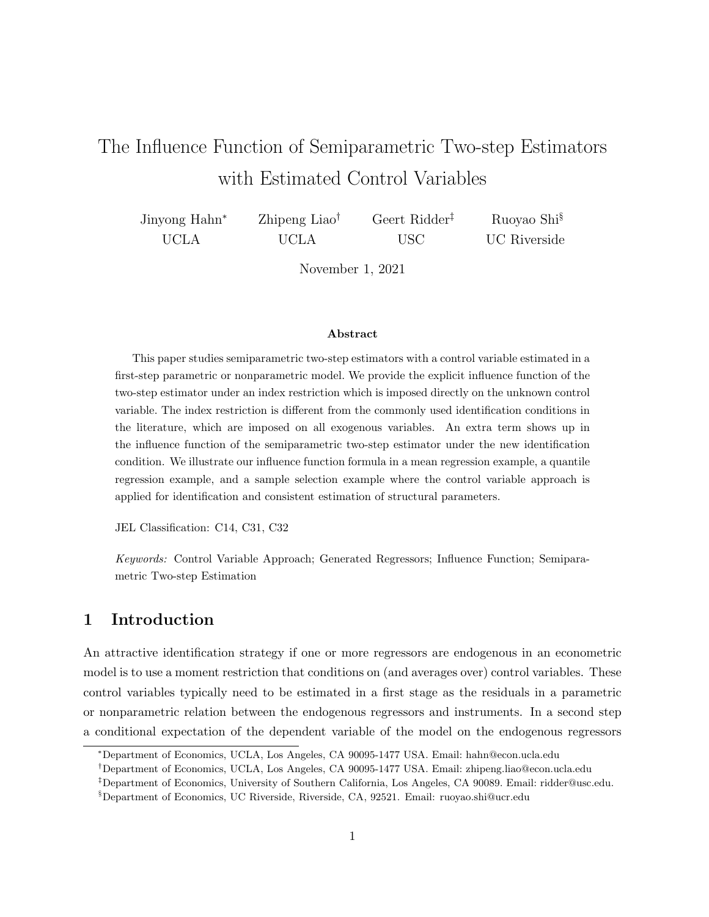# The Influence Function of Semiparametric Two-step Estimators with Estimated Control Variables

| Jinyong Hahn <sup>*</sup> | Zhipeng Liao <sup>†</sup> | Geert Ridder <sup>‡</sup> | Ruoyao Shi <sup>§</sup> |
|---------------------------|---------------------------|---------------------------|-------------------------|
| UCLA                      | UCLA                      | -USC                      | UC Riverside            |

November 1, 2021

#### Abstract

This paper studies semiparametric two-step estimators with a control variable estimated in a first-step parametric or nonparametric model. We provide the explicit influence function of the two-step estimator under an index restriction which is imposed directly on the unknown control variable. The index restriction is different from the commonly used identification conditions in the literature, which are imposed on all exogenous variables. An extra term shows up in the influence function of the semiparametric two-step estimator under the new identification condition. We illustrate our influence function formula in a mean regression example, a quantile regression example, and a sample selection example where the control variable approach is applied for identification and consistent estimation of structural parameters.

JEL Classification: C14, C31, C32

Keywords: Control Variable Approach; Generated Regressors; Influence Function; Semiparametric Two-step Estimation

#### 1 Introduction

An attractive identification strategy if one or more regressors are endogenous in an econometric model is to use a moment restriction that conditions on (and averages over) control variables. These control variables typically need to be estimated in a first stage as the residuals in a parametric or nonparametric relation between the endogenous regressors and instruments. In a second step a conditional expectation of the dependent variable of the model on the endogenous regressors

<sup>∗</sup>Department of Economics, UCLA, Los Angeles, CA 90095-1477 USA. Email: hahn@econ.ucla.edu

<sup>†</sup>Department of Economics, UCLA, Los Angeles, CA 90095-1477 USA. Email: zhipeng.liao@econ.ucla.edu

<sup>‡</sup>Department of Economics, University of Southern California, Los Angeles, CA 90089. Email: ridder@usc.edu.

<sup>§</sup>Department of Economics, UC Riverside, Riverside, CA, 92521. Email: ruoyao.shi@ucr.edu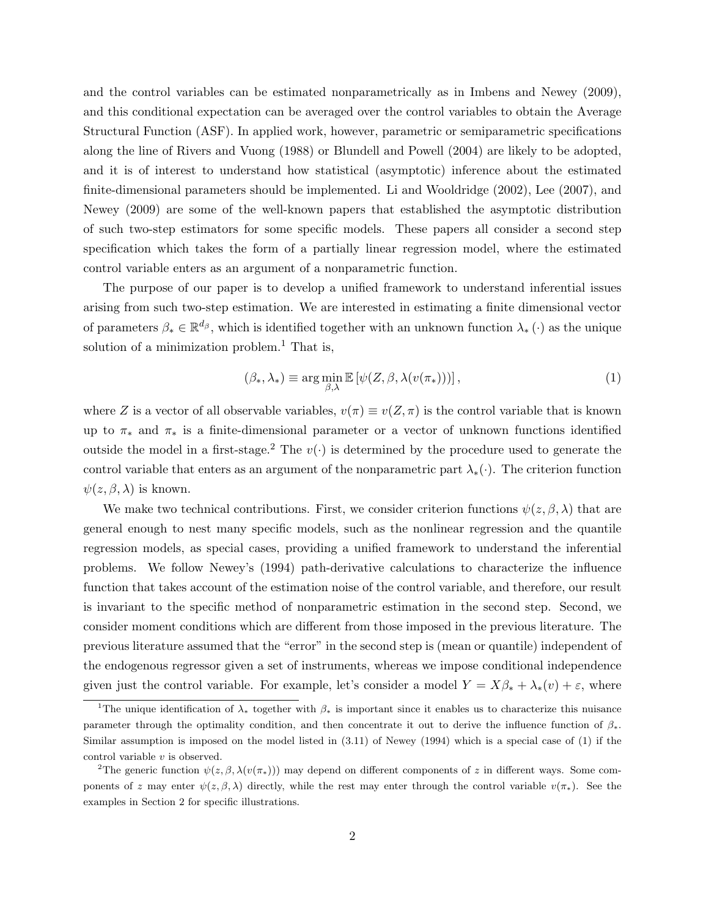and the control variables can be estimated nonparametrically as in Imbens and Newey (2009), and this conditional expectation can be averaged over the control variables to obtain the Average Structural Function (ASF). In applied work, however, parametric or semiparametric specifications along the line of Rivers and Vuong (1988) or Blundell and Powell (2004) are likely to be adopted, and it is of interest to understand how statistical (asymptotic) inference about the estimated finite-dimensional parameters should be implemented. Li and Wooldridge (2002), Lee (2007), and Newey (2009) are some of the well-known papers that established the asymptotic distribution of such two-step estimators for some specific models. These papers all consider a second step specification which takes the form of a partially linear regression model, where the estimated control variable enters as an argument of a nonparametric function.

The purpose of our paper is to develop a unified framework to understand inferential issues arising from such two-step estimation. We are interested in estimating a finite dimensional vector of parameters  $\beta_* \in \mathbb{R}^{d_{\beta}}$ , which is identified together with an unknown function  $\lambda_* (\cdot)$  as the unique solution of a minimization problem.<sup>1</sup> That is,

$$
(\beta_*, \lambda_*) \equiv \arg\min_{\beta, \lambda} \mathbb{E}\left[\psi(Z, \beta, \lambda(v(\pi_*)))\right],\tag{1}
$$

where Z is a vector of all observable variables,  $v(\pi) \equiv v(Z, \pi)$  is the control variable that is known up to  $\pi_*$  and  $\pi_*$  is a finite-dimensional parameter or a vector of unknown functions identified outside the model in a first-stage.<sup>2</sup> The  $v(\cdot)$  is determined by the procedure used to generate the control variable that enters as an argument of the nonparametric part  $\lambda_*(\cdot)$ . The criterion function  $\psi(z,\beta,\lambda)$  is known.

We make two technical contributions. First, we consider criterion functions  $\psi(z,\beta,\lambda)$  that are general enough to nest many specific models, such as the nonlinear regression and the quantile regression models, as special cases, providing a unified framework to understand the inferential problems. We follow Newey's (1994) path-derivative calculations to characterize the influence function that takes account of the estimation noise of the control variable, and therefore, our result is invariant to the specific method of nonparametric estimation in the second step. Second, we consider moment conditions which are different from those imposed in the previous literature. The previous literature assumed that the "error" in the second step is (mean or quantile) independent of the endogenous regressor given a set of instruments, whereas we impose conditional independence given just the control variable. For example, let's consider a model  $Y = X\beta_* + \lambda_*(v) + \varepsilon$ , where

<sup>&</sup>lt;sup>1</sup>The unique identification of  $\lambda_*$  together with  $\beta_*$  is important since it enables us to characterize this nuisance parameter through the optimality condition, and then concentrate it out to derive the influence function of  $\beta_*$ . Similar assumption is imposed on the model listed in (3.11) of Newey (1994) which is a special case of (1) if the control variable  $v$  is observed.

<sup>&</sup>lt;sup>2</sup>The generic function  $\psi(z, \beta, \lambda(v(\pi_{*})))$  may depend on different components of z in different ways. Some components of z may enter  $\psi(z,\beta,\lambda)$  directly, while the rest may enter through the control variable  $v(\pi_*)$ . See the examples in Section 2 for specific illustrations.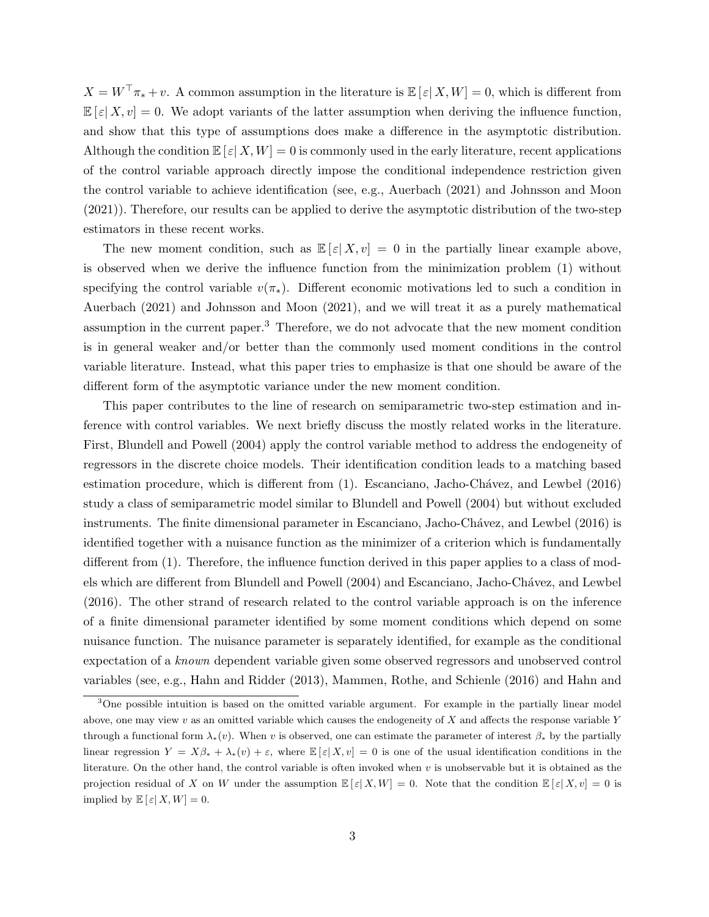$X = W^{\top} \pi_* + v$ . A common assumption in the literature is  $\mathbb{E}[\varepsilon | X, W] = 0$ , which is different from  $\mathbb{E}[\varepsilon|X,v] = 0$ . We adopt variants of the latter assumption when deriving the influence function, and show that this type of assumptions does make a difference in the asymptotic distribution. Although the condition  $\mathbb{E}[\varepsilon|X,W] = 0$  is commonly used in the early literature, recent applications of the control variable approach directly impose the conditional independence restriction given the control variable to achieve identification (see, e.g., Auerbach (2021) and Johnsson and Moon (2021)). Therefore, our results can be applied to derive the asymptotic distribution of the two-step estimators in these recent works.

The new moment condition, such as  $\mathbb{E}[\varepsilon|X,v] = 0$  in the partially linear example above, is observed when we derive the influence function from the minimization problem (1) without specifying the control variable  $v(\pi_*)$ . Different economic motivations led to such a condition in Auerbach (2021) and Johnsson and Moon (2021), and we will treat it as a purely mathematical assumption in the current paper.<sup>3</sup> Therefore, we do not advocate that the new moment condition is in general weaker and/or better than the commonly used moment conditions in the control variable literature. Instead, what this paper tries to emphasize is that one should be aware of the different form of the asymptotic variance under the new moment condition.

This paper contributes to the line of research on semiparametric two-step estimation and inference with control variables. We next briefly discuss the mostly related works in the literature. First, Blundell and Powell (2004) apply the control variable method to address the endogeneity of regressors in the discrete choice models. Their identification condition leads to a matching based estimation procedure, which is different from (1). Escanciano, Jacho-Chávez, and Lewbel (2016) study a class of semiparametric model similar to Blundell and Powell (2004) but without excluded instruments. The finite dimensional parameter in Escanciano, Jacho-Chávez, and Lewbel (2016) is identified together with a nuisance function as the minimizer of a criterion which is fundamentally different from (1). Therefore, the influence function derived in this paper applies to a class of models which are different from Blundell and Powell (2004) and Escanciano, Jacho-Chávez, and Lewbel (2016). The other strand of research related to the control variable approach is on the inference of a finite dimensional parameter identified by some moment conditions which depend on some nuisance function. The nuisance parameter is separately identified, for example as the conditional expectation of a known dependent variable given some observed regressors and unobserved control variables (see, e.g., Hahn and Ridder (2013), Mammen, Rothe, and Schienle (2016) and Hahn and

<sup>&</sup>lt;sup>3</sup>One possible intuition is based on the omitted variable argument. For example in the partially linear model above, one may view  $v$  as an omitted variable which causes the endogeneity of  $X$  and affects the response variable  $Y$ through a functional form  $\lambda_*(v)$ . When v is observed, one can estimate the parameter of interest  $\beta_*$  by the partially linear regression  $Y = X\beta_* + \lambda_*(v) + \varepsilon$ , where  $\mathbb{E}[\varepsilon|X,v] = 0$  is one of the usual identification conditions in the literature. On the other hand, the control variable is often invoked when v is unobservable but it is obtained as the projection residual of X on W under the assumption  $\mathbb{E}[\varepsilon|X,W] = 0$ . Note that the condition  $\mathbb{E}[\varepsilon|X,v] = 0$  is implied by  $\mathbb{E}[\varepsilon|X,W] = 0.$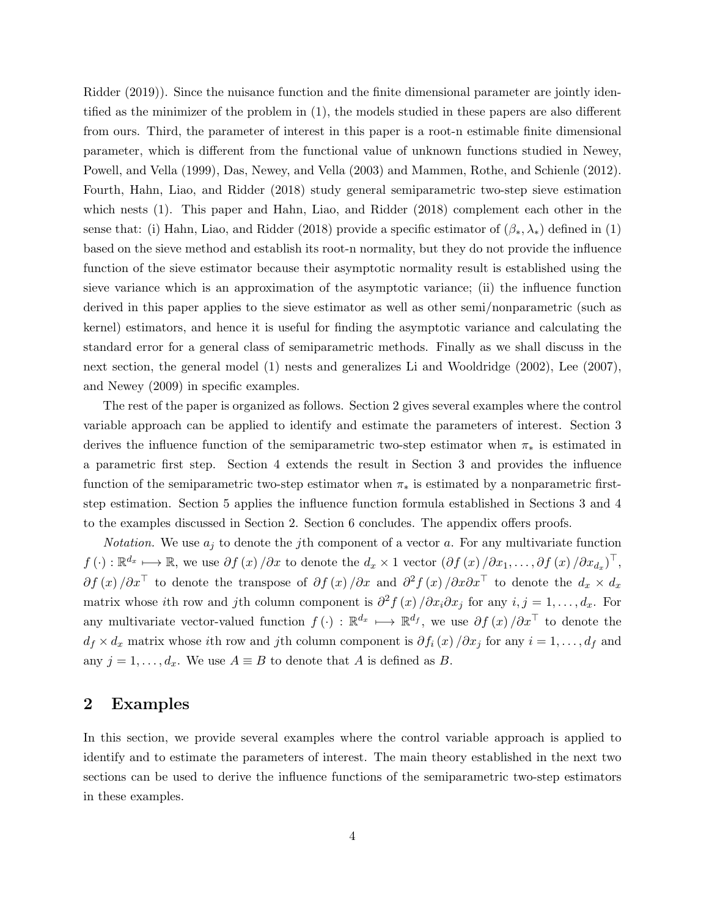Ridder (2019)). Since the nuisance function and the finite dimensional parameter are jointly identified as the minimizer of the problem in (1), the models studied in these papers are also different from ours. Third, the parameter of interest in this paper is a root-n estimable finite dimensional parameter, which is different from the functional value of unknown functions studied in Newey, Powell, and Vella (1999), Das, Newey, and Vella (2003) and Mammen, Rothe, and Schienle (2012). Fourth, Hahn, Liao, and Ridder (2018) study general semiparametric two-step sieve estimation which nests (1). This paper and Hahn, Liao, and Ridder (2018) complement each other in the sense that: (i) Hahn, Liao, and Ridder (2018) provide a specific estimator of  $(\beta_*, \lambda_*)$  defined in (1) based on the sieve method and establish its root-n normality, but they do not provide the influence function of the sieve estimator because their asymptotic normality result is established using the sieve variance which is an approximation of the asymptotic variance; (ii) the influence function derived in this paper applies to the sieve estimator as well as other semi/nonparametric (such as kernel) estimators, and hence it is useful for finding the asymptotic variance and calculating the standard error for a general class of semiparametric methods. Finally as we shall discuss in the next section, the general model (1) nests and generalizes Li and Wooldridge (2002), Lee (2007), and Newey (2009) in specific examples.

The rest of the paper is organized as follows. Section 2 gives several examples where the control variable approach can be applied to identify and estimate the parameters of interest. Section 3 derives the influence function of the semiparametric two-step estimator when  $\pi_*$  is estimated in a parametric first step. Section 4 extends the result in Section 3 and provides the influence function of the semiparametric two-step estimator when  $\pi_*$  is estimated by a nonparametric firststep estimation. Section 5 applies the influence function formula established in Sections 3 and 4 to the examples discussed in Section 2. Section 6 concludes. The appendix offers proofs.

*Notation*. We use  $a_j$  to denote the j<sup>th</sup> component of a vector a. For any multivariate function  $f(\cdot): \mathbb{R}^{d_x} \longmapsto \mathbb{R}$ , we use  $\partial f(x)/\partial x$  to denote the  $d_x \times 1$  vector  $(\partial f(x)/\partial x_1, \dots, \partial f(x)/\partial x_{d_x})^{\top}$ ,  $\partial f(x)/\partial x^{\top}$  to denote the transpose of  $\partial f(x)/\partial x$  and  $\partial^2 f(x)/\partial x \partial x^{\top}$  to denote the  $d_x \times d_x$ matrix whose ith row and jth column component is  $\partial^2 f(x)/\partial x_i \partial x_j$  for any  $i, j = 1, ..., d_x$ . For any multivariate vector-valued function  $f(\cdot) : \mathbb{R}^{d_x} \longmapsto \mathbb{R}^{d_f}$ , we use  $\partial f(x)/\partial x^{\top}$  to denote the  $d_f \times d_x$  matrix whose ith row and jth column component is  $\partial f_i(x)/\partial x_j$  for any  $i = 1, \ldots, d_f$  and any  $j = 1, \ldots, d_x$ . We use  $A \equiv B$  to denote that A is defined as B.

#### 2 Examples

In this section, we provide several examples where the control variable approach is applied to identify and to estimate the parameters of interest. The main theory established in the next two sections can be used to derive the influence functions of the semiparametric two-step estimators in these examples.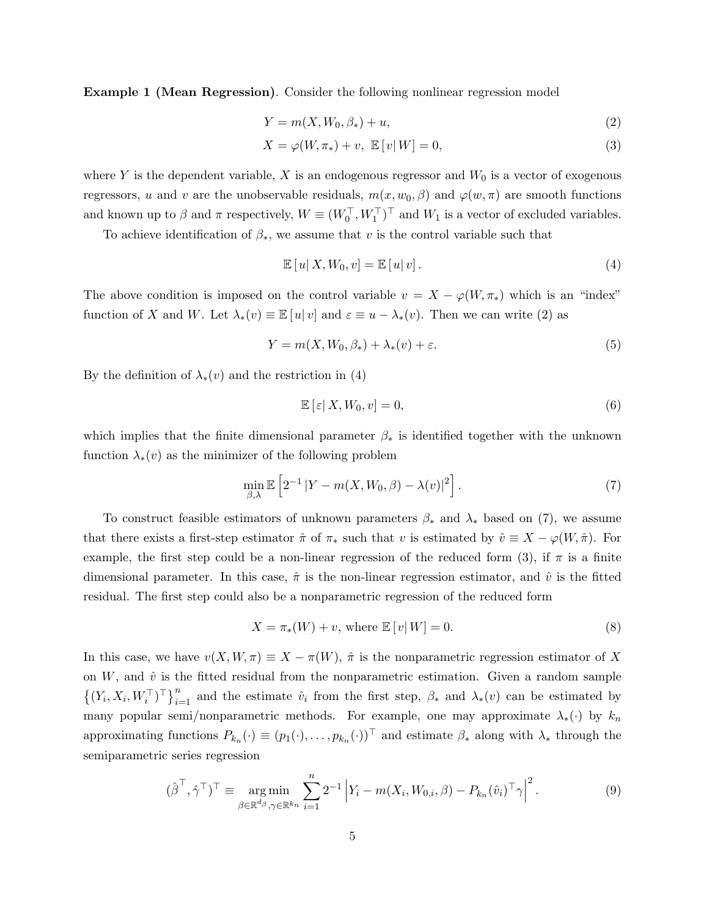Example 1 (Mean Regression). Consider the following nonlinear regression model

$$
Y = m(X, W_0, \beta_*) + u,\tag{2}
$$

$$
X = \varphi(W, \pi_*) + v, \ \mathbb{E}\left[v|W\right] = 0,\tag{3}
$$

where Y is the dependent variable, X is an endogenous regressor and  $W_0$  is a vector of exogenous regressors, u and v are the unobservable residuals,  $m(x, w_0, \beta)$  and  $\varphi(w, \pi)$  are smooth functions and known up to  $\beta$  and  $\pi$  respectively,  $W \equiv (W_0^{\top}, W_1^{\top})^{\top}$  and  $W_1$  is a vector of excluded variables.

To achieve identification of  $\beta_*$ , we assume that v is the control variable such that

$$
\mathbb{E}\left[u\right|X,W_0,v\right]=\mathbb{E}\left[u\right|v\right].\tag{4}
$$

The above condition is imposed on the control variable  $v = X - \varphi(W, \pi_*)$  which is an "index" function of X and W. Let  $\lambda_*(v) \equiv \mathbb{E}[u|v]$  and  $\varepsilon \equiv u - \lambda_*(v)$ . Then we can write (2) as

$$
Y = m(X, W_0, \beta_*) + \lambda_*(v) + \varepsilon. \tag{5}
$$

By the definition of  $\lambda_*(v)$  and the restriction in (4)

$$
\mathbb{E}\left[\left|\varepsilon\right|X,W_0,v\right] = 0,\tag{6}
$$

which implies that the finite dimensional parameter  $\beta_*$  is identified together with the unknown function  $\lambda_*(v)$  as the minimizer of the following problem

$$
\min_{\beta,\lambda} \mathbb{E}\left[2^{-1} \left|Y - m(X, W_0, \beta) - \lambda(v)\right|^2\right].\tag{7}
$$

To construct feasible estimators of unknown parameters  $\beta_*$  and  $\lambda_*$  based on (7), we assume that there exists a first-step estimator  $\hat{\pi}$  of  $\pi_*$  such that v is estimated by  $\hat{v} \equiv X - \varphi(W, \hat{\pi})$ . For example, the first step could be a non-linear regression of the reduced form (3), if  $\pi$  is a finite dimensional parameter. In this case,  $\hat{\pi}$  is the non-linear regression estimator, and  $\hat{v}$  is the fitted residual. The first step could also be a nonparametric regression of the reduced form

$$
X = \pi_*(W) + v, \text{ where } \mathbb{E}[v|W] = 0.
$$
 (8)

In this case, we have  $v(X, W, \pi) \equiv X - \pi(W)$ ,  $\hat{\pi}$  is the nonparametric regression estimator of X on  $W$ , and  $\hat{v}$  is the fitted residual from the nonparametric estimation. Given a random sample  $\{(Y_i, X_i, W_i^{\top})^{\top}\}_{i=1}^n$  and the estimate  $\hat{v}_i$  from the first step,  $\beta_*$  and  $\lambda_*(v)$  can be estimated by many popular semi/nonparametric methods. For example, one may approximate  $\lambda_*(\cdot)$  by  $k_n$ approximating functions  $P_{k_n}(\cdot) \equiv (p_1(\cdot), \ldots, p_{k_n}(\cdot))^{\top}$  and estimate  $\beta_*$  along with  $\lambda_*$  through the semiparametric series regression

$$
(\hat{\beta}^{\top}, \hat{\gamma}^{\top})^{\top} \equiv \underset{\beta \in \mathbb{R}^{d_{\beta}}, \gamma \in \mathbb{R}^{k_n}}{\arg \min} \sum_{i=1}^{n} 2^{-1} \left| Y_i - m(X_i, W_{0,i}, \beta) - P_{k_n}(\hat{v}_i)^{\top} \gamma \right|^2.
$$
 (9)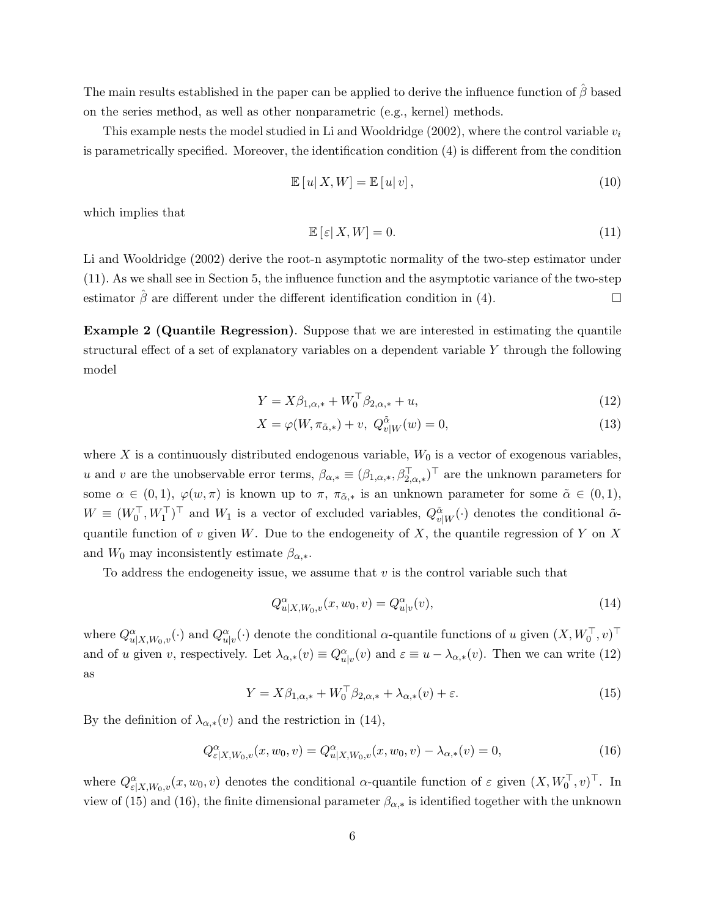The main results established in the paper can be applied to derive the influence function of  $\hat{\beta}$  based on the series method, as well as other nonparametric (e.g., kernel) methods.

This example nests the model studied in Li and Wooldridge (2002), where the control variable  $v_i$ is parametrically specified. Moreover, the identification condition (4) is different from the condition

$$
\mathbb{E}\left[u\right|X,W]=\mathbb{E}\left[u\right|v\right],\tag{10}
$$

which implies that

$$
\mathbb{E}\left[\left|\varepsilon\right|X,W\right] = 0.\tag{11}
$$

Li and Wooldridge (2002) derive the root-n asymptotic normality of the two-step estimator under (11). As we shall see in Section 5, the influence function and the asymptotic variance of the two-step estimator  $\hat{\beta}$  are different under the different identification condition in (4).

Example 2 (Quantile Regression). Suppose that we are interested in estimating the quantile structural effect of a set of explanatory variables on a dependent variable Y through the following model

$$
Y = X\beta_{1,\alpha,*} + W_0^{\top}\beta_{2,\alpha,*} + u,\tag{12}
$$

$$
X = \varphi(W, \pi_{\tilde{\alpha},*}) + v, \ Q_{v|W}^{\tilde{\alpha}}(w) = 0,
$$
\n
$$
(13)
$$

where X is a continuously distributed endogenous variable,  $W_0$  is a vector of exogenous variables, u and v are the unobservable error terms,  $\beta_{\alpha,*} \equiv (\beta_{1,\alpha,*}, \beta_{2,\alpha,*}^\top)^\top$  are the unknown parameters for some  $\alpha \in (0,1)$ ,  $\varphi(w,\pi)$  is known up to  $\pi$ ,  $\pi_{\tilde{\alpha},*}$  is an unknown parameter for some  $\tilde{\alpha} \in (0,1)$ ,  $W \equiv (W_0^{\top}, W_1^{\top})^{\top}$  and  $W_1$  is a vector of excluded variables,  $Q_{v|W}^{\tilde{\alpha}}(\cdot)$  denotes the conditional  $\tilde{\alpha}$ quantile function of v given W. Due to the endogeneity of X, the quantile regression of Y on X and  $W_0$  may inconsistently estimate  $\beta_{\alpha,*}$ .

To address the endogeneity issue, we assume that  $v$  is the control variable such that

$$
Q_{u|X,W_0,v}^{\alpha}(x, w_0, v) = Q_{u|v}^{\alpha}(v),
$$
\n(14)

where  $Q_{u|X,W_0,v}^{\alpha}(\cdot)$  and  $Q_{u|v}^{\alpha}(\cdot)$  denote the conditional  $\alpha$ -quantile functions of u given  $(X, W_0^{\top}, v)$ <sup>T</sup> and of u given v, respectively. Let  $\lambda_{\alpha,*}(v) \equiv Q_{u|v}^{\alpha}(v)$  and  $\varepsilon \equiv u - \lambda_{\alpha,*}(v)$ . Then we can write (12) as

$$
Y = X\beta_{1,\alpha,*} + W_0^\top \beta_{2,\alpha,*} + \lambda_{\alpha,*}(v) + \varepsilon.
$$
\n(15)

By the definition of  $\lambda_{\alpha,*}(v)$  and the restriction in (14),

$$
Q_{\varepsilon|X,W_0,v}^{\alpha}(x,w_0,v) = Q_{u|X,W_0,v}^{\alpha}(x,w_0,v) - \lambda_{\alpha,*}(v) = 0,
$$
\n(16)

where  $Q_{\varepsilon|X,W_0,v}^{\alpha}(x,w_0,v)$  denotes the conditional  $\alpha$ -quantile function of  $\varepsilon$  given  $(X,W_0^{\top},v)^{\top}$ . In view of (15) and (16), the finite dimensional parameter  $\beta_{\alpha,*}$  is identified together with the unknown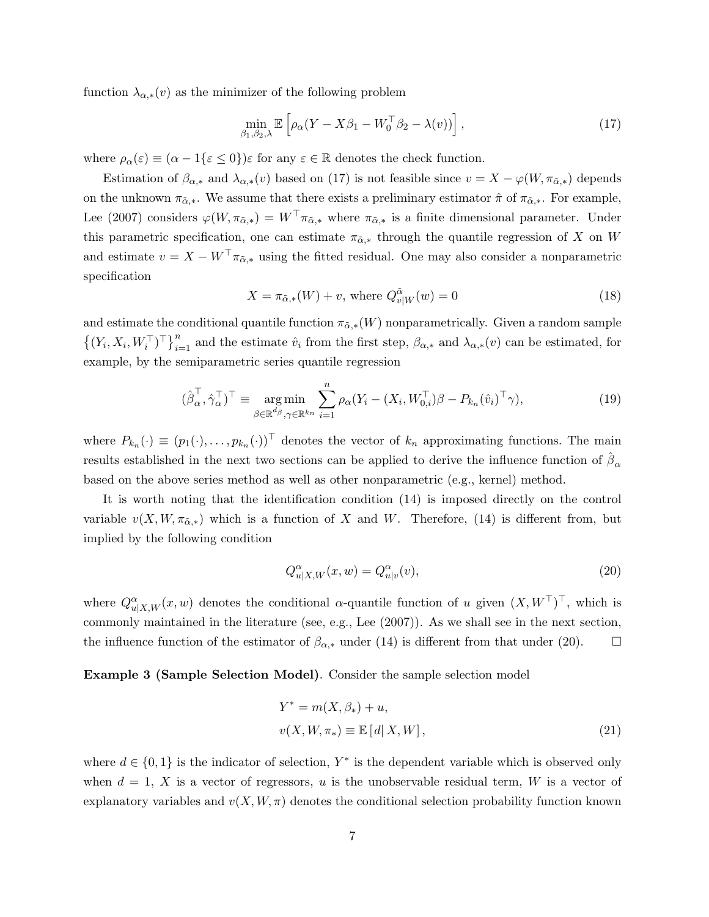function  $\lambda_{\alpha,*}(v)$  as the minimizer of the following problem

$$
\min_{\beta_1, \beta_2, \lambda} \mathbb{E} \left[ \rho_\alpha (Y - X \beta_1 - W_0^\top \beta_2 - \lambda(v)) \right], \tag{17}
$$

where  $\rho_{\alpha}(\varepsilon) \equiv (\alpha - 1\{\varepsilon \leq 0\})\varepsilon$  for any  $\varepsilon \in \mathbb{R}$  denotes the check function.

Estimation of  $\beta_{\alpha,*}$  and  $\lambda_{\alpha,*}(v)$  based on (17) is not feasible since  $v = X - \varphi(W, \pi_{\alpha,*})$  depends on the unknown  $\pi_{\tilde{\alpha}, *}$ . We assume that there exists a preliminary estimator  $\hat{\pi}$  of  $\pi_{\tilde{\alpha}, *}$ . For example, Lee (2007) considers  $\varphi(W, \pi_{\alpha,*}) = W^\top \pi_{\alpha,*}$  where  $\pi_{\alpha,*}$  is a finite dimensional parameter. Under this parametric specification, one can estimate  $\pi_{\alpha,*}$  through the quantile regression of X on W and estimate  $v = X - W^{\top} \pi_{\tilde{\alpha},*}$  using the fitted residual. One may also consider a nonparametric specification

$$
X = \pi_{\tilde{\alpha},*}(W) + v, \text{ where } Q_{v|W}^{\tilde{\alpha}}(w) = 0 \tag{18}
$$

and estimate the conditional quantile function  $\pi_{\alpha,*}(W)$  nonparametrically. Given a random sample  $\{(Y_i, X_i, W_i^{\top})^{\top}\}_{i=1}^n$  and the estimate  $\hat{v}_i$  from the first step,  $\beta_{\alpha,*}$  and  $\lambda_{\alpha,*}(v)$  can be estimated, for example, by the semiparametric series quantile regression

$$
(\hat{\beta}_{\alpha}^{\top}, \hat{\gamma}_{\alpha}^{\top})^{\top} \equiv \underset{\beta \in \mathbb{R}^{d_{\beta}}, \gamma \in \mathbb{R}^{k_n}}{\arg \min} \sum_{i=1}^{n} \rho_{\alpha} (Y_i - (X_i, W_{0,i}^{\top}) \beta - P_{k_n}(\hat{v}_i)^{\top} \gamma), \tag{19}
$$

where  $P_{k_n}(\cdot) \equiv (p_1(\cdot), \ldots, p_{k_n}(\cdot))^{\top}$  denotes the vector of  $k_n$  approximating functions. The main results established in the next two sections can be applied to derive the influence function of  $\hat{\beta}_{\alpha}$ based on the above series method as well as other nonparametric (e.g., kernel) method.

It is worth noting that the identification condition (14) is imposed directly on the control variable  $v(X, W, \pi_{\alpha,*})$  which is a function of X and W. Therefore, (14) is different from, but implied by the following condition

$$
Q_{u|X,W}^{\alpha}(x,w) = Q_{u|v}^{\alpha}(v),\tag{20}
$$

where  $Q_{u|X,W}^{\alpha}(x,w)$  denotes the conditional  $\alpha$ -quantile function of u given  $(X,W^{\top})^{\top}$ , which is commonly maintained in the literature (see, e.g., Lee (2007)). As we shall see in the next section, the influence function of the estimator of  $\beta_{\alpha,*}$  under (14) is different from that under (20).

Example 3 (Sample Selection Model). Consider the sample selection model

$$
Y^* = m(X, \beta_*) + u,
$$
  

$$
v(X, W, \pi_*) \equiv \mathbb{E}[d|X, W],
$$
 (21)

where  $d \in \{0, 1\}$  is the indicator of selection,  $Y^*$  is the dependent variable which is observed only when  $d = 1$ , X is a vector of regressors, u is the unobservable residual term, W is a vector of explanatory variables and  $v(X, W, \pi)$  denotes the conditional selection probability function known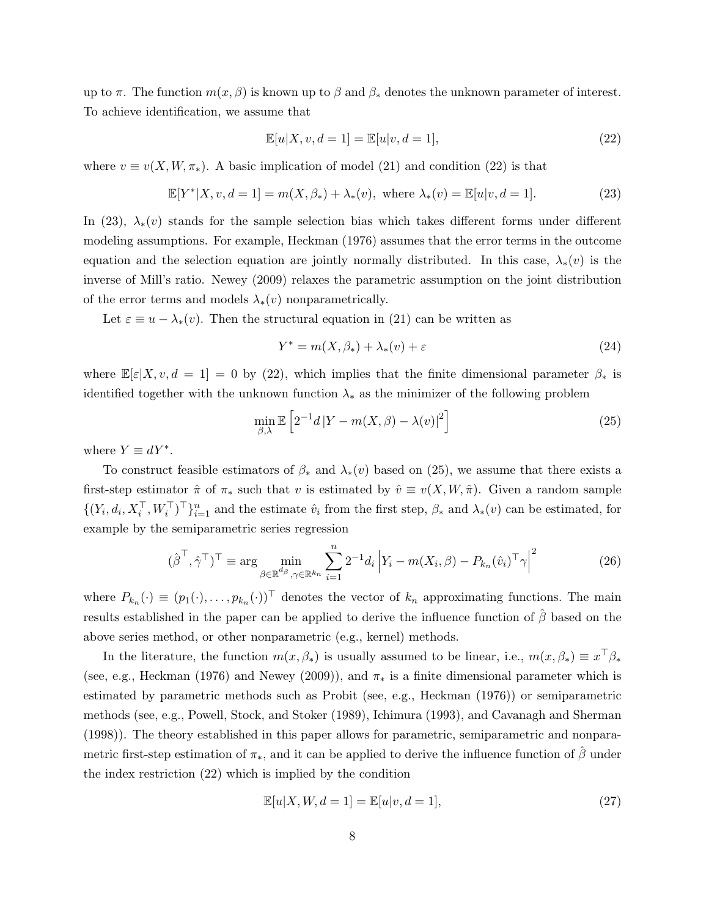up to  $\pi$ . The function  $m(x, \beta)$  is known up to  $\beta$  and  $\beta_*$  denotes the unknown parameter of interest. To achieve identification, we assume that

$$
\mathbb{E}[u|X,v,d=1] = \mathbb{E}[u|v,d=1],\tag{22}
$$

where  $v \equiv v(X, W, \pi_*)$ . A basic implication of model (21) and condition (22) is that

$$
\mathbb{E}[Y^*|X, v, d=1] = m(X, \beta_*) + \lambda_*(v), \text{ where } \lambda_*(v) = \mathbb{E}[u|v, d=1].
$$
 (23)

In (23),  $\lambda_*(v)$  stands for the sample selection bias which takes different forms under different modeling assumptions. For example, Heckman (1976) assumes that the error terms in the outcome equation and the selection equation are jointly normally distributed. In this case,  $\lambda_*(v)$  is the inverse of Mill's ratio. Newey (2009) relaxes the parametric assumption on the joint distribution of the error terms and models  $\lambda_*(v)$  nonparametrically.

Let  $\varepsilon \equiv u - \lambda_*(v)$ . Then the structural equation in (21) can be written as

$$
Y^* = m(X, \beta_*) + \lambda_*(v) + \varepsilon \tag{24}
$$

where  $\mathbb{E}[\varepsilon|X, v, d = 1] = 0$  by (22), which implies that the finite dimensional parameter  $\beta_*$  is identified together with the unknown function  $\lambda_*$  as the minimizer of the following problem

$$
\min_{\beta,\lambda} \mathbb{E}\left[2^{-1}d|Y - m(X,\beta) - \lambda(v)|^2\right] \tag{25}
$$

where  $Y \equiv dY^*$ .

To construct feasible estimators of  $\beta_*$  and  $\lambda_*(v)$  based on (25), we assume that there exists a first-step estimator  $\hat{\pi}$  of  $\pi_*$  such that v is estimated by  $\hat{v} \equiv v(X, W, \hat{\pi})$ . Given a random sample  $\{(Y_i, d_i, X_i^{\top}, W_i^{\top})^{\top}\}_{i=1}^n$  and the estimate  $\hat{v}_i$  from the first step,  $\beta_*$  and  $\lambda_*(v)$  can be estimated, for example by the semiparametric series regression

$$
(\hat{\boldsymbol{\beta}}^{\top}, \hat{\boldsymbol{\gamma}}^{\top})^{\top} \equiv \arg\min_{\boldsymbol{\beta} \in \mathbb{R}^{d_{\beta}}, \boldsymbol{\gamma} \in \mathbb{R}^{k_{n}}} \sum_{i=1}^{n} 2^{-1} d_{i} \left| Y_{i} - m(X_{i}, \boldsymbol{\beta}) - P_{k_{n}}(\hat{v}_{i})^{\top} \boldsymbol{\gamma} \right|^{2}
$$
(26)

where  $P_{k_n}(\cdot) \equiv (p_1(\cdot), \ldots, p_{k_n}(\cdot))^{\top}$  denotes the vector of  $k_n$  approximating functions. The main results established in the paper can be applied to derive the influence function of  $\hat{\beta}$  based on the above series method, or other nonparametric (e.g., kernel) methods.

In the literature, the function  $m(x, \beta_*)$  is usually assumed to be linear, i.e.,  $m(x, \beta_*) \equiv x^\top \beta_*$ (see, e.g., Heckman (1976) and Newey (2009)), and  $\pi_*$  is a finite dimensional parameter which is estimated by parametric methods such as Probit (see, e.g., Heckman (1976)) or semiparametric methods (see, e.g., Powell, Stock, and Stoker (1989), Ichimura (1993), and Cavanagh and Sherman (1998)). The theory established in this paper allows for parametric, semiparametric and nonparametric first-step estimation of  $\pi_*$ , and it can be applied to derive the influence function of  $\hat{\beta}$  under the index restriction (22) which is implied by the condition

$$
\mathbb{E}[u|X, W, d=1] = \mathbb{E}[u|v, d=1],\tag{27}
$$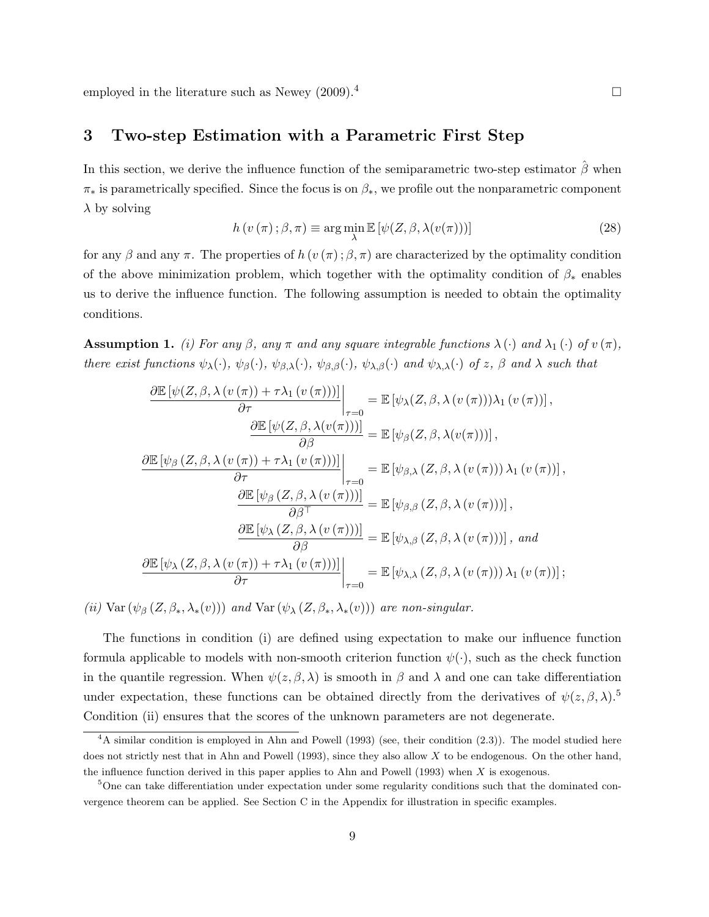employed in the literature such as Newey  $(2009)^{4}$ 

#### 3 Two-step Estimation with a Parametric First Step

In this section, we derive the influence function of the semiparametric two-step estimator  $\hat{\beta}$  when  $\pi_*$  is parametrically specified. Since the focus is on  $\beta_*$ , we profile out the nonparametric component  $\lambda$  by solving

$$
h(v(\pi); \beta, \pi) \equiv \arg\min_{\lambda} \mathbb{E}\left[\psi(Z, \beta, \lambda(v(\pi)))\right]
$$
 (28)

for any β and any π. The properties of  $h(v(\pi); \beta, \pi)$  are characterized by the optimality condition of the above minimization problem, which together with the optimality condition of  $\beta_*$  enables us to derive the influence function. The following assumption is needed to obtain the optimality conditions.

**Assumption 1.** (i) For any  $\beta$ , any  $\pi$  and any square integrable functions  $\lambda(\cdot)$  and  $\lambda_1(\cdot)$  of  $v(\pi)$ , there exist functions  $\psi_{\lambda}(\cdot), \psi_{\beta}(\cdot), \psi_{\beta, \lambda}(\cdot), \psi_{\beta, \beta}(\cdot), \psi_{\lambda, \beta}(\cdot)$  and  $\psi_{\lambda, \lambda}(\cdot)$  of z,  $\beta$  and  $\lambda$  such that

$$
\frac{\partial \mathbb{E} \left[ \psi(Z, \beta, \lambda(v(\pi)) + \tau \lambda_1(v(\pi))) \right]}{\partial \tau} \Big|_{\tau=0} = \mathbb{E} \left[ \psi_{\lambda}(Z, \beta, \lambda(v(\pi))) \lambda_1(v(\pi)) \right],
$$
\n
$$
\frac{\partial \mathbb{E} \left[ \psi(Z, \beta, \lambda(v(\pi))) \right]}{\partial \beta} = \mathbb{E} \left[ \psi_{\beta}(Z, \beta, \lambda(v(\pi))) \right],
$$
\n
$$
\frac{\partial \mathbb{E} \left[ \psi_{\beta}(Z, \beta, \lambda(v(\pi)) + \tau \lambda_1(v(\pi))) \right]}{\partial \tau} \Big|_{\tau=0} = \mathbb{E} \left[ \psi_{\beta, \lambda}(Z, \beta, \lambda(v(\pi))) \lambda_1(v(\pi)) \right],
$$
\n
$$
\frac{\partial \mathbb{E} \left[ \psi_{\beta}(Z, \beta, \lambda(v(\pi))) \right]}{\partial \beta^{\top}} = \mathbb{E} \left[ \psi_{\beta, \beta}(Z, \beta, \lambda(v(\pi))) \right],
$$
\n
$$
\frac{\partial \mathbb{E} \left[ \psi_{\lambda}(Z, \beta, \lambda(v(\pi))) \right]}{\partial \beta} = \mathbb{E} \left[ \psi_{\lambda, \beta}(Z, \beta, \lambda(v(\pi))) \right],
$$
 and\n
$$
\frac{\partial \mathbb{E} \left[ \psi_{\lambda}(Z, \beta, \lambda(v(\pi)) + \tau \lambda_1(v(\pi))) \right]}{\partial \tau} \Big|_{\tau=0} = \mathbb{E} \left[ \psi_{\lambda, \lambda}(Z, \beta, \lambda(v(\pi))) \lambda_1(v(\pi)) \right];
$$

(ii) Var  $(\psi_{\beta}(Z,\beta_*,\lambda_*(v)))$  and Var  $(\psi_{\lambda}(Z,\beta_*,\lambda_*(v)))$  are non-singular.

The functions in condition (i) are defined using expectation to make our influence function formula applicable to models with non-smooth criterion function  $\psi(\cdot)$ , such as the check function in the quantile regression. When  $\psi(z, \beta, \lambda)$  is smooth in  $\beta$  and  $\lambda$  and one can take differentiation under expectation, these functions can be obtained directly from the derivatives of  $\psi(z,\beta,\lambda)$ .<sup>5</sup> Condition (ii) ensures that the scores of the unknown parameters are not degenerate.

 $4A$  similar condition is employed in Ahn and Powell (1993) (see, their condition (2.3)). The model studied here does not strictly nest that in Ahn and Powell (1993), since they also allow  $X$  to be endogenous. On the other hand, the influence function derived in this paper applies to Ahn and Powell (1993) when X is exogenous.

<sup>5</sup>One can take differentiation under expectation under some regularity conditions such that the dominated convergence theorem can be applied. See Section C in the Appendix for illustration in specific examples.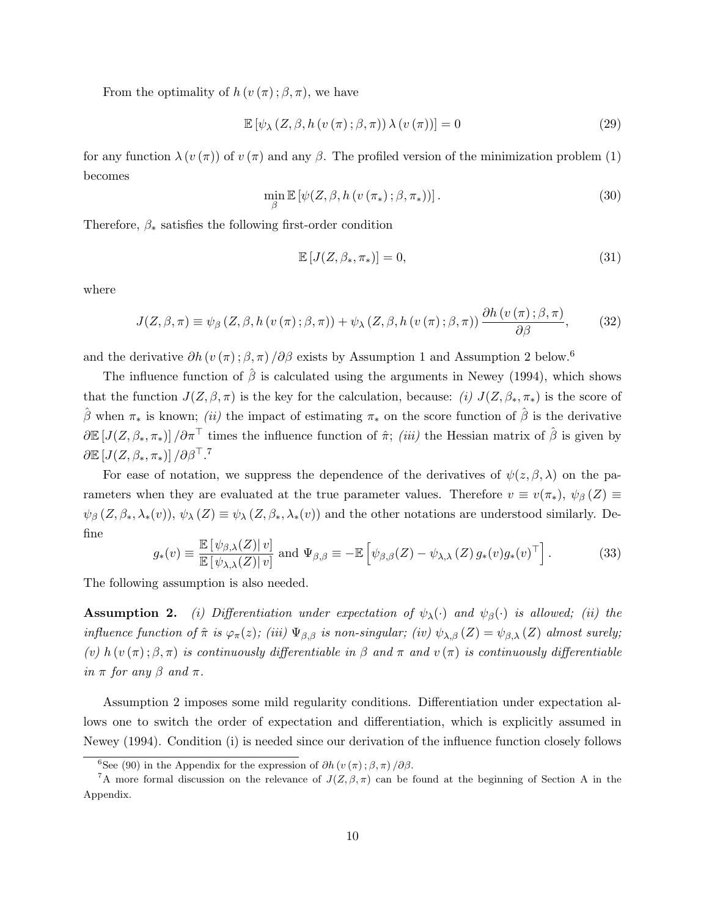From the optimality of  $h(v(\pi);\beta,\pi)$ , we have

$$
\mathbb{E}\left[\psi_{\lambda}\left(Z,\beta,h\left(v\left(\pi\right);\beta,\pi\right)\right)\lambda\left(v\left(\pi\right)\right)\right]=0\tag{29}
$$

for any function  $\lambda(v(\pi))$  of  $v(\pi)$  and any  $\beta$ . The profiled version of the minimization problem (1) becomes

$$
\min_{\beta} \mathbb{E} \left[ \psi(Z, \beta, h \left( v \left( \pi_* \right); \beta, \pi_* \right) ) \right]. \tag{30}
$$

Therefore,  $\beta_*$  satisfies the following first-order condition

$$
\mathbb{E}\left[J(Z,\beta_*,\pi_*)\right] = 0,\tag{31}
$$

where

$$
J(Z, \beta, \pi) \equiv \psi_{\beta} (Z, \beta, h (v(\pi); \beta, \pi)) + \psi_{\lambda} (Z, \beta, h (v(\pi); \beta, \pi)) \frac{\partial h (v(\pi); \beta, \pi)}{\partial \beta}, \tag{32}
$$

and the derivative  $\partial h(v(\pi); \beta, \pi) / \partial \beta$  exists by Assumption 1 and Assumption 2 below.<sup>6</sup>

The influence function of  $\hat{\beta}$  is calculated using the arguments in Newey (1994), which shows that the function  $J(Z, \beta, \pi)$  is the key for the calculation, because: (i)  $J(Z, \beta_*, \pi_*)$  is the score of  $\hat{\beta}$  when  $\pi_*$  is known; *(ii)* the impact of estimating  $\pi_*$  on the score function of  $\hat{\beta}$  is the derivative  $\partial \mathbb{E}[J(Z,\beta_*,\pi_*)]/\partial \pi^{\top}$  times the influence function of  $\hat{\pi}$ ; *(iii)* the Hessian matrix of  $\hat{\beta}$  is given by  $\partial \mathbb{E}\left[J(Z,\beta_*,\pi_*)\right]/\partial \beta^\top.$  <sup>7</sup>

For ease of notation, we suppress the dependence of the derivatives of  $\psi(z,\beta,\lambda)$  on the parameters when they are evaluated at the true parameter values. Therefore  $v \equiv v(\pi_*)$ ,  $\psi_\beta(Z) \equiv$  $\psi_{\beta}(Z,\beta_*,\lambda_*(v)), \psi_{\lambda}(Z) \equiv \psi_{\lambda}(Z,\beta_*,\lambda_*(v))$  and the other notations are understood similarly. Define

$$
g_*(v) \equiv \frac{\mathbb{E}\left[\psi_{\beta,\lambda}(Z)|v\right]}{\mathbb{E}\left[\psi_{\lambda,\lambda}(Z)|v\right]} \text{ and } \Psi_{\beta,\beta} \equiv -\mathbb{E}\left[\psi_{\beta,\beta}(Z) - \psi_{\lambda,\lambda}(Z) g_*(v) g_*(v)^\top\right].
$$
 (33)

The following assumption is also needed.

**Assumption 2.** (i) Differentiation under expectation of  $\psi_{\lambda}(\cdot)$  and  $\psi_{\beta}(\cdot)$  is allowed; (ii) the influence function of  $\hat{\pi}$  is  $\varphi_{\pi}(z)$ ; (iii)  $\Psi_{\beta,\beta}$  is non-singular; (iv)  $\psi_{\lambda,\beta}(Z) = \psi_{\beta,\lambda}(Z)$  almost surely; (v) h (v( $\pi$ );  $\beta$ ,  $\pi$ ) is continuously differentiable in  $\beta$  and  $\pi$  and  $v(\pi)$  is continuously differentiable in  $\pi$  for any  $\beta$  and  $\pi$ .

Assumption 2 imposes some mild regularity conditions. Differentiation under expectation allows one to switch the order of expectation and differentiation, which is explicitly assumed in Newey (1994). Condition (i) is needed since our derivation of the influence function closely follows

<sup>&</sup>lt;sup>6</sup>See (90) in the Appendix for the expression of  $\partial h(v(\pi);\beta,\pi)/\partial\beta$ .

<sup>&</sup>lt;sup>7</sup>A more formal discussion on the relevance of  $J(Z,\beta,\pi)$  can be found at the beginning of Section A in the Appendix.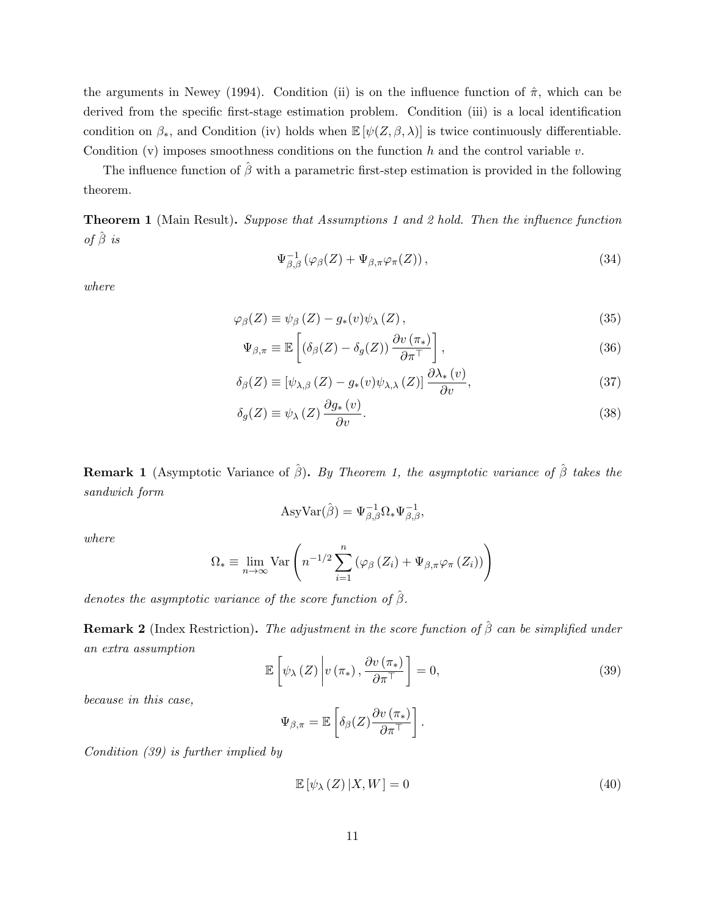the arguments in Newey (1994). Condition (ii) is on the influence function of  $\hat{\pi}$ , which can be derived from the specific first-stage estimation problem. Condition (iii) is a local identification condition on  $\beta_*$ , and Condition (iv) holds when  $\mathbb{E}[\psi(Z,\beta,\lambda)]$  is twice continuously differentiable. Condition (v) imposes smoothness conditions on the function  $h$  and the control variable  $v$ .

The influence function of  $\hat{\beta}$  with a parametric first-step estimation is provided in the following theorem.

Theorem 1 (Main Result). Suppose that Assumptions 1 and 2 hold. Then the influence function of  $\hat{\beta}$  is

$$
\Psi_{\beta,\beta}^{-1}(\varphi_{\beta}(Z) + \Psi_{\beta,\pi}\varphi_{\pi}(Z)),\tag{34}
$$

where

$$
\varphi_{\beta}(Z) \equiv \psi_{\beta}(Z) - g_*(v)\psi_{\lambda}(Z), \qquad (35)
$$

$$
\Psi_{\beta,\pi} \equiv \mathbb{E}\left[ \left( \delta_{\beta}(Z) - \delta_g(Z) \right) \frac{\partial v(\pi_*)}{\partial \pi^{\top}} \right],\tag{36}
$$

$$
\delta_{\beta}(Z) \equiv \left[\psi_{\lambda,\beta}\left(Z\right) - g_*(v)\psi_{\lambda,\lambda}\left(Z\right)\right] \frac{\partial \lambda_*(v)}{\partial v},\tag{37}
$$

$$
\delta_g(Z) \equiv \psi_\lambda\left(Z\right) \frac{\partial g_*(v)}{\partial v}.\tag{38}
$$

**Remark 1** (Asymptotic Variance of  $\hat{\beta}$ ). By Theorem 1, the asymptotic variance of  $\hat{\beta}$  takes the sandwich form

$$
AsyVar(\hat{\beta}) = \Psi_{\beta,\beta}^{-1} \Omega_* \Psi_{\beta,\beta}^{-1},
$$

where

$$
\Omega_* \equiv \lim_{n \to \infty} \text{Var}\left(n^{-1/2} \sum_{i=1}^n \left(\varphi_\beta\left(Z_i\right) + \Psi_{\beta,\pi} \varphi_\pi\left(Z_i\right)\right)\right)
$$

denotes the asymptotic variance of the score function of  $\hat{\beta}$ .

**Remark 2** (Index Restriction). The adjustment in the score function of  $\hat{\beta}$  can be simplified under an extra assumption

$$
\mathbb{E}\left[\psi_{\lambda}\left(Z\right)\middle| v\left(\pi_{*}\right),\frac{\partial v\left(\pi_{*}\right)}{\partial\pi^{\top}}\right]=0,\tag{39}
$$

because in this case,

$$
\Psi_{\beta,\pi} = \mathbb{E}\left[\delta_{\beta}(Z)\frac{\partial v(\pi_*)}{\partial \pi^{\top}}\right].
$$

Condition (39) is further implied by

$$
\mathbb{E}\left[\psi_{\lambda}\left(Z\right)|X,W\right]=0\tag{40}
$$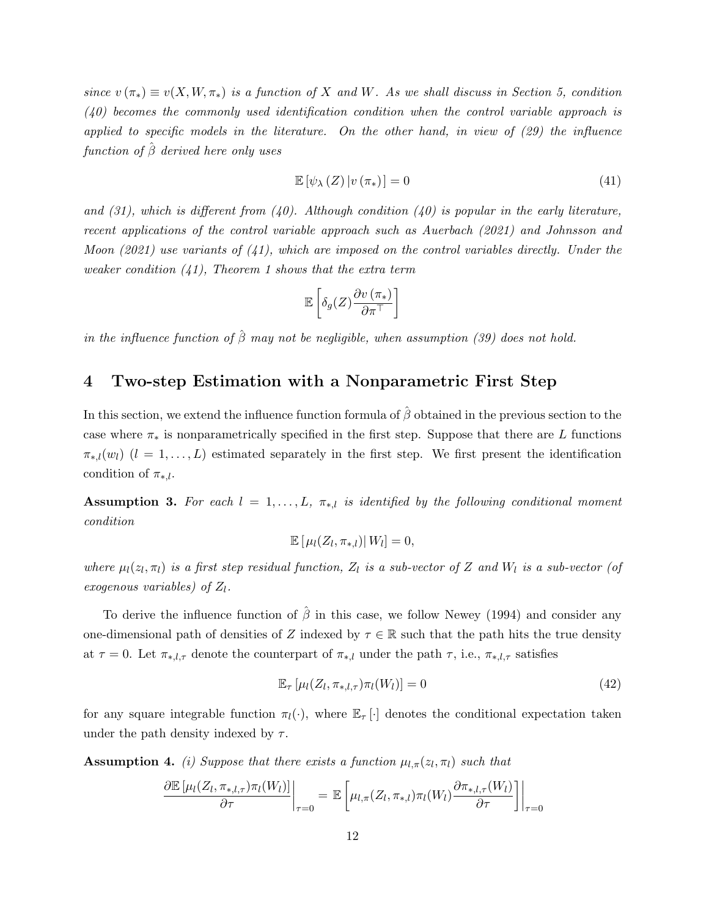since  $v(\pi_*) \equiv v(X, W, \pi_*)$  is a function of X and W. As we shall discuss in Section 5, condition (40) becomes the commonly used identification condition when the control variable approach is applied to specific models in the literature. On the other hand, in view of (29) the influence function of  $\hat{\beta}$  derived here only uses

$$
\mathbb{E}\left[\psi_{\lambda}\left(Z\right)|v\left(\pi_{*}\right)\right]=0\tag{41}
$$

and (31), which is different from (40). Although condition (40) is popular in the early literature, recent applications of the control variable approach such as Auerbach (2021) and Johnsson and Moon (2021) use variants of  $(41)$ , which are imposed on the control variables directly. Under the weaker condition  $(41)$ , Theorem 1 shows that the extra term

$$
\mathbb{E}\left[\delta_g(Z)\frac{\partial v\left(\pi_*\right)}{\partial \pi^\top}\right]
$$

in the influence function of  $\hat{\beta}$  may not be negligible, when assumption (39) does not hold.

## 4 Two-step Estimation with a Nonparametric First Step

In this section, we extend the influence function formula of  $\hat{\beta}$  obtained in the previous section to the case where  $\pi_*$  is nonparametrically specified in the first step. Suppose that there are L functions  $\pi_{*,l}(w_l)$   $(l = 1, \ldots, L)$  estimated separately in the first step. We first present the identification condition of  $\pi_{\ast,l}$ .

**Assumption 3.** For each  $l = 1, ..., L$ ,  $\pi_{*,l}$  is identified by the following conditional moment condition

$$
\mathbb{E}\left[\left.\mu_l(Z_l,\pi_{*,l})\right|W_l\right]=0,
$$

where  $\mu_l(z_l, \pi_l)$  is a first step residual function,  $Z_l$  is a sub-vector of Z and  $W_l$  is a sub-vector (of exogenous variables) of  $Z_l$ .

To derive the influence function of  $\hat{\beta}$  in this case, we follow Newey (1994) and consider any one-dimensional path of densities of Z indexed by  $\tau \in \mathbb{R}$  such that the path hits the true density at  $\tau = 0$ . Let  $\pi_{*,l,\tau}$  denote the counterpart of  $\pi_{*,l}$  under the path  $\tau$ , i.e.,  $\pi_{*,l,\tau}$  satisfies

$$
\mathbb{E}_{\tau}\left[\mu_l(Z_l, \pi_{*,l,\tau})\pi_l(W_l)\right] = 0\tag{42}
$$

for any square integrable function  $\pi_l(\cdot)$ , where  $\mathbb{E}_{\tau}[\cdot]$  denotes the conditional expectation taken under the path density indexed by  $\tau$ .

**Assumption 4.** (i) Suppose that there exists a function  $\mu_{l,\pi}(z_l, \pi_l)$  such that

$$
\frac{\partial \mathbb{E}\left[\mu_l(Z_l, \pi_{*,l,\tau})\pi_l(W_l)\right]}{\partial \tau}\bigg|_{\tau=0} = \mathbb{E}\left[\mu_{l,\pi}(Z_l, \pi_{*,l})\pi_l(W_l)\frac{\partial \pi_{*,l,\tau}(W_l)}{\partial \tau}\right]\bigg|_{\tau=0}
$$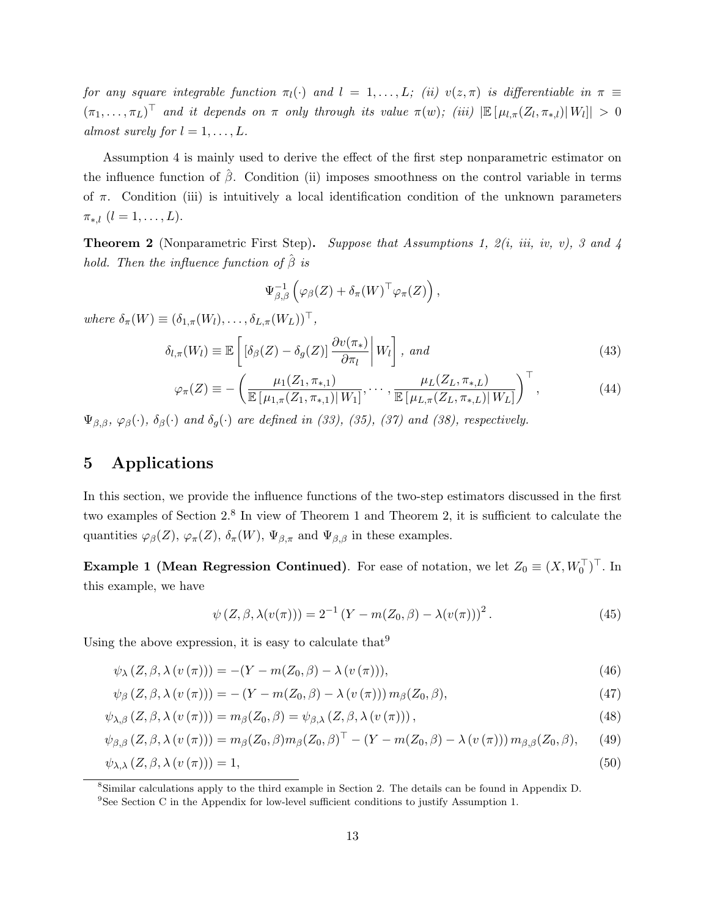for any square integrable function  $\pi_l(\cdot)$  and  $l = 1, \ldots, L;$  (ii)  $v(z, \pi)$  is differentiable in  $\pi \equiv$  $(\pi_1,\ldots,\pi_L)^\top$  and it depends on  $\pi$  only through its value  $\pi(w)$ ; (iii)  $|\mathbb{E}[\mu_{l,\pi}(Z_l,\pi_{*,l})|W_l]| > 0$ almost surely for  $l = 1, \ldots, L$ .

Assumption 4 is mainly used to derive the effect of the first step nonparametric estimator on the influence function of  $\beta$ . Condition (ii) imposes smoothness on the control variable in terms of  $\pi$ . Condition (iii) is intuitively a local identification condition of the unknown parameters  $\pi_{*,l}$   $(l = 1, \ldots, L).$ 

**Theorem 2** (Nonparametric First Step). Suppose that Assumptions 1,  $2(i, ii, iv, v)$ , 3 and 4 hold. Then the influence function of  $\hat{\beta}$  is

$$
\Psi_{\beta,\beta}^{-1}\left(\varphi_{\beta}(Z)+\delta_{\pi}(W)^{\top}\varphi_{\pi}(Z)\right),\,
$$

where  $\delta_{\pi}(W) \equiv (\delta_{1,\pi}(W_l), \ldots, \delta_{L,\pi}(W_L))^{\top}$ ,

$$
\delta_{l,\pi}(W_l) \equiv \mathbb{E}\left[\left[\delta_\beta(Z) - \delta_g(Z)\right] \frac{\partial v(\pi_*)}{\partial \pi_l} \middle| W_l\right], \text{ and} \tag{43}
$$

$$
\varphi_{\pi}(Z) \equiv -\left(\frac{\mu_1(Z_1, \pi_{*,1})}{\mathbb{E}\left[\mu_{1,\pi}(Z_1, \pi_{*,1})| W_1\right]}, \cdots, \frac{\mu_L(Z_L, \pi_{*,L})}{\mathbb{E}\left[\mu_{L,\pi}(Z_L, \pi_{*,L})| W_L\right]}\right)^{\top},\tag{44}
$$

 $\Psi_{\beta,\beta}$ ,  $\varphi_{\beta}(\cdot), \delta_{\beta}(\cdot)$  and  $\delta_{g}(\cdot)$  are defined in (33), (35), (37) and (38), respectively.

## 5 Applications

In this section, we provide the influence functions of the two-step estimators discussed in the first two examples of Section 2.<sup>8</sup> In view of Theorem 1 and Theorem 2, it is sufficient to calculate the quantities  $\varphi_{\beta}(Z), \varphi_{\pi}(Z), \delta_{\pi}(W), \Psi_{\beta,\pi}$  and  $\Psi_{\beta,\beta}$  in these examples.

**Example 1** (Mean Regression Continued). For ease of notation, we let  $Z_0 \equiv (X, W_0^\top)^\top$ . In this example, we have

$$
\psi(Z, \beta, \lambda(v(\pi))) = 2^{-1} (Y - m(Z_0, \beta) - \lambda(v(\pi)))^2.
$$
 (45)

Using the above expression, it is easy to calculate that  $9$ 

$$
\psi_{\lambda}(Z,\beta,\lambda(v(\pi))) = -(Y - m(Z_0,\beta) - \lambda(v(\pi))),\tag{46}
$$

$$
\psi_{\beta}\left(Z,\beta,\lambda\left(v\left(\pi\right)\right)\right)=-\left(Y-m(Z_0,\beta)-\lambda\left(v\left(\pi\right)\right)\right)m_{\beta}(Z_0,\beta),\tag{47}
$$

$$
\psi_{\lambda,\beta}\left(Z,\beta,\lambda\left(v\left(\pi\right)\right)\right)=m_{\beta}(Z_0,\beta)=\psi_{\beta,\lambda}\left(Z,\beta,\lambda\left(v\left(\pi\right)\right)\right),\tag{48}
$$

$$
\psi_{\beta,\beta}\left(Z,\beta,\lambda\left(v\left(\pi\right)\right)\right)=m_{\beta}\left(Z_0,\beta\right)m_{\beta}\left(Z_0,\beta\right)^{\top}-\left(Y-m\left(Z_0,\beta\right)-\lambda\left(v\left(\pi\right)\right)\right)m_{\beta,\beta}\left(Z_0,\beta\right),\qquad(49)
$$

$$
\psi_{\lambda,\lambda}(Z,\beta,\lambda(v(\pi)))=1,\tag{50}
$$

<sup>8</sup>Similar calculations apply to the third example in Section 2. The details can be found in Appendix D.

<sup>9</sup>See Section C in the Appendix for low-level sufficient conditions to justify Assumption 1.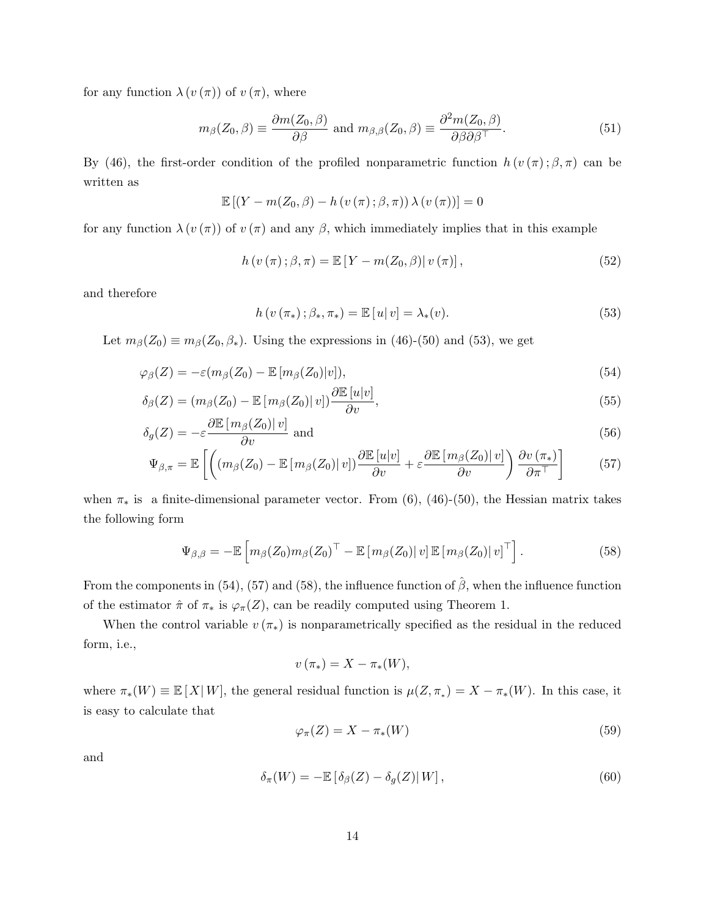for any function  $\lambda(v(\pi))$  of  $v(\pi)$ , where

$$
m_{\beta}(Z_0, \beta) \equiv \frac{\partial m(Z_0, \beta)}{\partial \beta} \text{ and } m_{\beta, \beta}(Z_0, \beta) \equiv \frac{\partial^2 m(Z_0, \beta)}{\partial \beta \partial \beta^{\top}}.
$$
 (51)

By (46), the first-order condition of the profiled nonparametric function  $h(v(\pi);\beta,\pi)$  can be written as

$$
\mathbb{E}\left[\left(Y - m(Z_0, \beta) - h\left(v\left(\pi\right); \beta, \pi\right)\right) \lambda\left(v\left(\pi\right)\right)\right] = 0
$$

for any function  $\lambda(v(\pi))$  of  $v(\pi)$  and any  $\beta$ , which immediately implies that in this example

$$
h(v(\pi); \beta, \pi) = \mathbb{E}\left[Y - m(Z_0, \beta)|v(\pi)\right],\tag{52}
$$

and therefore

$$
h(v(\pi_{*}); \beta_{*}, \pi_{*}) = \mathbb{E}[u|v] = \lambda_{*}(v).
$$
\n(53)

Let  $m_\beta(Z_0) \equiv m_\beta(Z_0, \beta_*)$ . Using the expressions in (46)-(50) and (53), we get

$$
\varphi_{\beta}(Z) = -\varepsilon(m_{\beta}(Z_0) - \mathbb{E}\left[m_{\beta}(Z_0)|v\right]),\tag{54}
$$

$$
\delta_{\beta}(Z) = (m_{\beta}(Z_0) - \mathbb{E}\left[m_{\beta}(Z_0) \middle| v\right]) \frac{\partial \mathbb{E}\left[u \middle| v\right]}{\partial v},\tag{55}
$$

$$
\delta_g(Z) = -\varepsilon \frac{\partial \mathbb{E}\left[m_\beta(Z_0)|\, v\right]}{\partial v} \text{ and } \tag{56}
$$

$$
\Psi_{\beta,\pi} = \mathbb{E}\left[ \left( \left( m_{\beta}(Z_0) - \mathbb{E}\left[ m_{\beta}(Z_0) \middle| v \right] \right) \frac{\partial \mathbb{E}\left[ u \middle| v \right]}{\partial v} + \varepsilon \frac{\partial \mathbb{E}\left[ m_{\beta}(Z_0) \middle| v \right]}{\partial v} \right) \frac{\partial v(\pi_*)}{\partial \pi^+} \right] \tag{57}
$$

when  $\pi_*$  is a finite-dimensional parameter vector. From (6), (46)-(50), the Hessian matrix takes the following form

$$
\Psi_{\beta,\beta} = -\mathbb{E}\left[m_{\beta}(Z_0)m_{\beta}(Z_0)^{\top} - \mathbb{E}\left[m_{\beta}(Z_0)|v\right]\mathbb{E}\left[m_{\beta}(Z_0)|v\right]^{\top}\right].
$$
\n(58)

From the components in (54), (57) and (58), the influence function of  $\hat{\beta}$ , when the influence function of the estimator  $\hat{\pi}$  of  $\pi_*$  is  $\varphi_{\pi}(Z)$ , can be readily computed using Theorem 1.

When the control variable  $v(\pi_*)$  is nonparametrically specified as the residual in the reduced form, i.e.,

$$
v\left(\pi_*\right) = X - \pi_*(W),
$$

where  $\pi_*(W) \equiv \mathbb{E}[X|W]$ , the general residual function is  $\mu(Z, \pi_*) = X - \pi_*(W)$ . In this case, it is easy to calculate that

$$
\varphi_{\pi}(Z) = X - \pi_{*}(W) \tag{59}
$$

and

$$
\delta_{\pi}(W) = -\mathbb{E}\left[\delta_{\beta}(Z) - \delta_{g}(Z)\right|W],\tag{60}
$$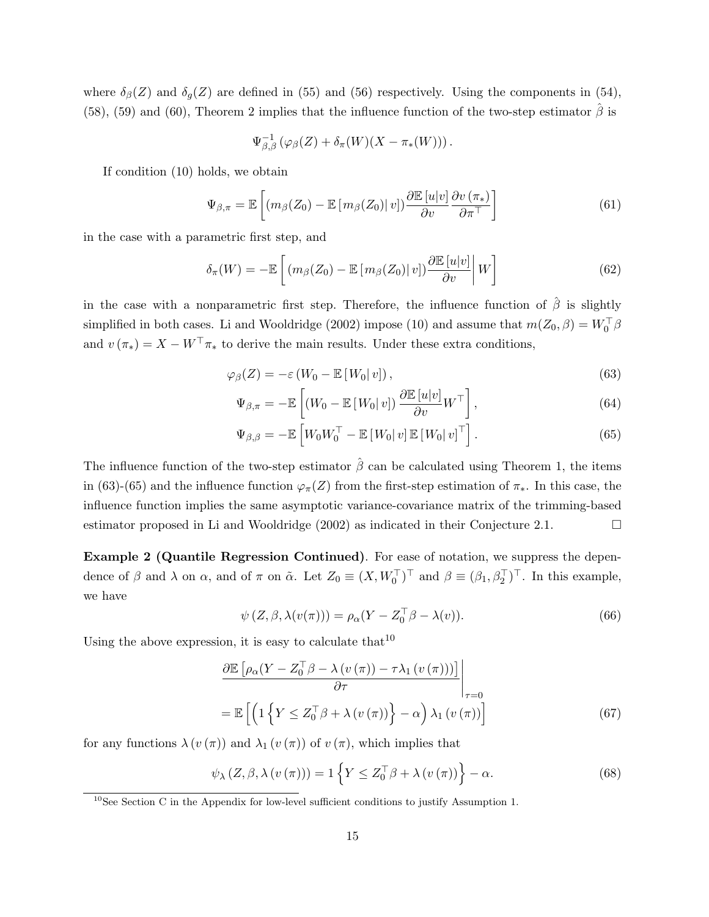where  $\delta_{\beta}(Z)$  and  $\delta_{q}(Z)$  are defined in (55) and (56) respectively. Using the components in (54), (58), (59) and (60), Theorem 2 implies that the influence function of the two-step estimator  $\hat{\beta}$  is

$$
\Psi_{\beta,\beta}^{-1}(\varphi_{\beta}(Z)+\delta_{\pi}(W)(X-\pi_*(W))).
$$

If condition (10) holds, we obtain

$$
\Psi_{\beta,\pi} = \mathbb{E}\left[ \left( m_{\beta}(Z_0) - \mathbb{E}\left[ m_{\beta}(Z_0) \right] v \right] \right) \frac{\partial \mathbb{E}\left[ u \middle| v \right]}{\partial v} \frac{\partial v(\pi_*)}{\partial \pi^{\top}} \right] \tag{61}
$$

in the case with a parametric first step, and

$$
\delta_{\pi}(W) = -\mathbb{E}\left[ \left( m_{\beta}(Z_0) - \mathbb{E}\left[ m_{\beta}(Z_0) \right] v \right] \right] \frac{\partial \mathbb{E}\left[ u \middle| v \right]}{\partial v} \middle| W \right] \tag{62}
$$

in the case with a nonparametric first step. Therefore, the influence function of  $\hat{\beta}$  is slightly simplified in both cases. Li and Wooldridge (2002) impose (10) and assume that  $m(Z_0, \beta) = W_0^{\top} \beta$ and  $v(\pi_*) = X - W^\top \pi_*$  to derive the main results. Under these extra conditions,

$$
\varphi_{\beta}(Z) = -\varepsilon \left( W_0 - \mathbb{E} \left[ W_0 | v \right] \right),\tag{63}
$$

$$
\Psi_{\beta,\pi} = -\mathbb{E}\left[ (W_0 - \mathbb{E}\left[ W_0 | v \right]) \frac{\partial \mathbb{E}\left[ u | v \right]}{\partial v} W^\top \right],\tag{64}
$$

$$
\Psi_{\beta,\beta} = -\mathbb{E}\left[W_0 W_0^\top - \mathbb{E}\left[W_0|v\right]\mathbb{E}\left[W_0|v\right]^\top\right].\tag{65}
$$

The influence function of the two-step estimator  $\hat{\beta}$  can be calculated using Theorem 1, the items in (63)-(65) and the influence function  $\varphi_{\pi}(Z)$  from the first-step estimation of  $\pi_{*}$ . In this case, the influence function implies the same asymptotic variance-covariance matrix of the trimming-based estimator proposed in Li and Wooldridge (2002) as indicated in their Conjecture 2.1.  $\Box$ 

Example 2 (Quantile Regression Continued). For ease of notation, we suppress the dependence of  $\beta$  and  $\lambda$  on  $\alpha$ , and of  $\pi$  on  $\tilde{\alpha}$ . Let  $Z_0 \equiv (X, W_0^{\top})^{\top}$  and  $\beta \equiv (\beta_1, \beta_2^{\top})^{\top}$ . In this example, we have

$$
\psi(Z,\beta,\lambda(v(\pi))) = \rho_{\alpha}(Y - Z_0^{\top}\beta - \lambda(v)). \tag{66}
$$

Using the above expression, it is easy to calculate that  $10$ 

$$
\frac{\partial \mathbb{E}\left[\rho_{\alpha}(Y - Z_0^{\top}\beta - \lambda\left(v\left(\pi\right)\right) - \tau\lambda_1\left(v\left(\pi\right)\right)\right)\right]}{\partial \tau}\Bigg|_{\tau=0}
$$
\n
$$
= \mathbb{E}\left[\left(1\left\{Y \leq Z_0^{\top}\beta + \lambda\left(v\left(\pi\right)\right)\right\} - \alpha\right)\lambda_1\left(v\left(\pi\right)\right)\right]
$$
\n(67)

for any functions  $\lambda(v(\pi))$  and  $\lambda_1(v(\pi))$  of  $v(\pi)$ , which implies that

$$
\psi_{\lambda} (Z, \beta, \lambda (v(\pi))) = 1 \left\{ Y \le Z_0^{\top} \beta + \lambda (v(\pi)) \right\} - \alpha.
$$
 (68)

<sup>&</sup>lt;sup>10</sup>See Section C in the Appendix for low-level sufficient conditions to justify Assumption 1.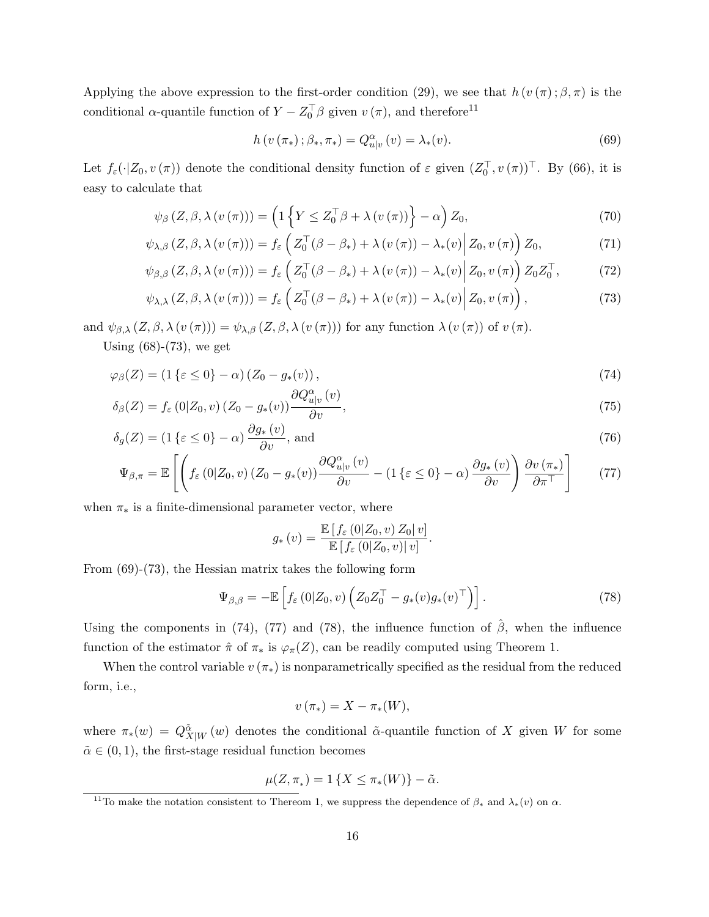Applying the above expression to the first-order condition (29), we see that  $h(v(\pi); \beta, \pi)$  is the conditional  $\alpha$ -quantile function of  $Y - Z_0^{\top} \beta$  given  $v(\pi)$ , and therefore<sup>11</sup>

$$
h(v(\pi_{*}); \beta_{*}, \pi_{*}) = Q_{u|v}^{\alpha}(v) = \lambda_{*}(v).
$$
\n(69)

Let  $f_{\varepsilon}(\cdot|Z_0, v(\pi))$  denote the conditional density function of  $\varepsilon$  given  $(Z_0^{\top}, v(\pi))^{\top}$ . By (66), it is easy to calculate that

$$
\psi_{\beta}\left(Z,\beta,\lambda\left(v\left(\pi\right)\right)\right)=\left(1\left\{ Y\leq Z_{0}^{\top}\beta+\lambda\left(v\left(\pi\right)\right)\right\} -\alpha\right)Z_{0},\tag{70}
$$

$$
\psi_{\lambda,\beta}\left(Z,\beta,\lambda\left(v\left(\pi\right)\right)\right)=f_{\varepsilon}\left(Z_{0}^{\top}\left(\beta-\beta_{*}\right)+\lambda\left(v\left(\pi\right)\right)-\lambda_{*}\left(v\right)\middle|Z_{0},v\left(\pi\right)\right)Z_{0},\tag{71}
$$

$$
\psi_{\beta,\beta}\left(Z,\beta,\lambda\left(v\left(\pi\right)\right)\right) = f_{\varepsilon}\left(Z_0^{\top}(\beta-\beta_*)+\lambda\left(v\left(\pi\right)\right)-\lambda_*(v)\middle|Z_0,v\left(\pi\right)\right)Z_0Z_0^{\top},\tag{72}
$$

$$
\psi_{\lambda,\lambda}(Z,\beta,\lambda(v(\pi))) = f_{\varepsilon}\left(Z_0^{\top}(\beta-\beta_*)+\lambda(v(\pi))-\lambda_*(v)\Big|Z_0,v(\pi)\right),\tag{73}
$$

and  $\psi_{\beta,\lambda}(Z,\beta,\lambda(v(\pi))) = \psi_{\lambda,\beta}(Z,\beta,\lambda(v(\pi)))$  for any function  $\lambda(v(\pi))$  of  $v(\pi)$ .

Using  $(68)-(73)$ , we get

$$
\varphi_{\beta}(Z) = (1\{\varepsilon \le 0\} - \alpha) (Z_0 - g_*(v)), \qquad (74)
$$

$$
\delta_{\beta}(Z) = f_{\varepsilon}(0|Z_0, v) (Z_0 - g_*(v)) \frac{\partial Q_{u|v}^{\alpha}(v)}{\partial v}, \tag{75}
$$

$$
\delta_g(Z) = (1\{\varepsilon \le 0\} - \alpha) \frac{\partial g_*(v)}{\partial v}, \text{ and} \tag{76}
$$

$$
\Psi_{\beta,\pi} = \mathbb{E}\left[ \left( f_{\varepsilon}\left(0|Z_0,v\right)\left(Z_0 - g_*(v)\right) \frac{\partial Q_{u|v}^{\alpha}(v)}{\partial v} - \left(1\left\{\varepsilon \le 0\right\} - \alpha\right) \frac{\partial g_*(v)}{\partial v} \right) \frac{\partial v\left(\pi_*\right)}{\partial \pi^{\top}} \right] \tag{77}
$$

when  $\pi_*$  is a finite-dimensional parameter vector, where

$$
g_*\left(v\right) = \frac{\mathbb{E}\left[f_\varepsilon\left(0|Z_0,v\right)Z_0|v\right]}{\mathbb{E}\left[f_\varepsilon\left(0|Z_0,v\right)|v\right]}.
$$

From (69)-(73), the Hessian matrix takes the following form

$$
\Psi_{\beta,\beta} = -\mathbb{E}\left[f_{\varepsilon}\left(0|Z_0,v\right)\left(Z_0Z_0^{\top} - g_*(v)g_*(v)^{\top}\right)\right].\tag{78}
$$

Using the components in (74), (77) and (78), the influence function of  $\hat{\beta}$ , when the influence function of the estimator  $\hat{\pi}$  of  $\pi_*$  is  $\varphi_{\pi}(Z)$ , can be readily computed using Theorem 1.

When the control variable  $v(\pi_*)$  is nonparametrically specified as the residual from the reduced form, i.e.,

$$
v\left(\pi_*\right)=X-\pi_*(W),
$$

where  $\pi_*(w) = Q^{\tilde{\alpha}}_{X|W}(w)$  denotes the conditional  $\tilde{\alpha}$ -quantile function of X given W for some  $\tilde{\alpha} \in (0, 1)$ , the first-stage residual function becomes

$$
\mu(Z,\pi_*)=1\{X\leq \pi_*(W)\}-\tilde{\alpha}.
$$

<sup>&</sup>lt;sup>11</sup>To make the notation consistent to Thereom 1, we suppress the dependence of  $\beta_*$  and  $\lambda_*(v)$  on  $\alpha$ .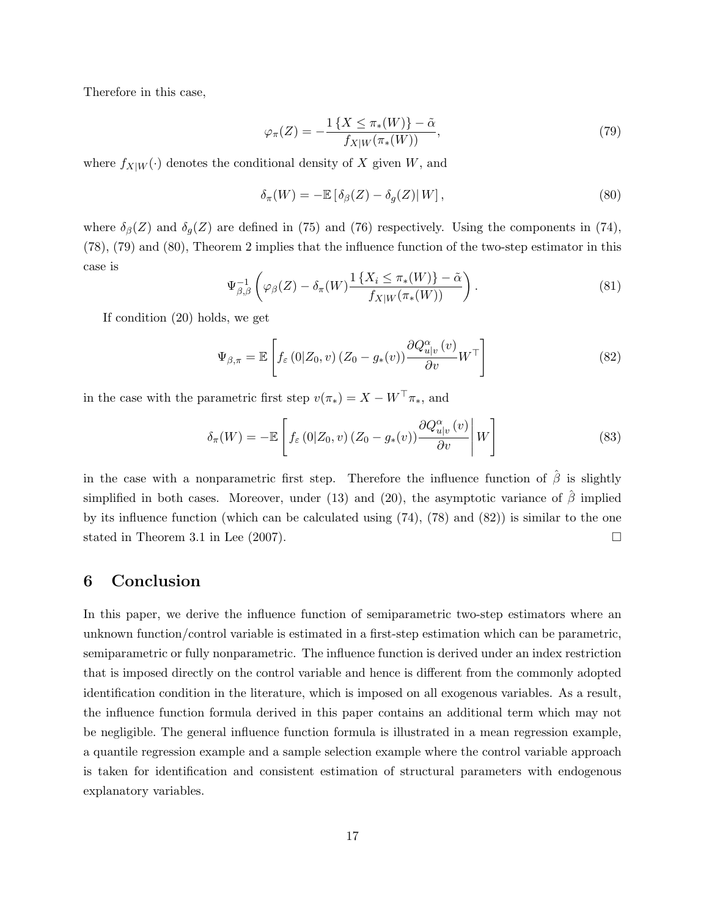Therefore in this case,

$$
\varphi_{\pi}(Z) = -\frac{1\left\{X \le \pi_*(W)\right\} - \tilde{\alpha}}{f_{X|W}(\pi_*(W))},\tag{79}
$$

where  $f_{X|W}(\cdot)$  denotes the conditional density of X given W, and

$$
\delta_{\pi}(W) = -\mathbb{E}\left[\delta_{\beta}(Z) - \delta_{g}(Z)|W\right],\tag{80}
$$

where  $\delta_{\beta}(Z)$  and  $\delta_{g}(Z)$  are defined in (75) and (76) respectively. Using the components in (74), (78), (79) and (80), Theorem 2 implies that the influence function of the two-step estimator in this case is

$$
\Psi_{\beta,\beta}^{-1}\left(\varphi_{\beta}(Z) - \delta_{\pi}(W)\frac{1\left\{X_i \leq \pi_*(W)\right\} - \tilde{\alpha}}{f_{X|W}(\pi_*(W))}\right). \tag{81}
$$

If condition (20) holds, we get

$$
\Psi_{\beta,\pi} = \mathbb{E}\left[f_{\varepsilon}\left(0|Z_0,v\right)\left(Z_0 - g_*(v)\right)\frac{\partial Q_{u|v}^{\alpha}(v)}{\partial v}W^{\top}\right]
$$
\n(82)

in the case with the parametric first step  $v(\pi_*) = X - W^\top \pi_*$ , and

$$
\delta_{\pi}(W) = -\mathbb{E}\left[f_{\varepsilon}(0|Z_0, v) (Z_0 - g_*(v)) \frac{\partial Q_{u|v}^{\alpha}(v)}{\partial v} \middle| W\right]
$$
\n(83)

in the case with a nonparametric first step. Therefore the influence function of  $\hat{\beta}$  is slightly simplified in both cases. Moreover, under (13) and (20), the asymptotic variance of  $\hat{\beta}$  implied by its influence function (which can be calculated using  $(74)$ ,  $(78)$  and  $(82)$ ) is similar to the one stated in Theorem 3.1 in Lee (2007).

#### 6 Conclusion

In this paper, we derive the influence function of semiparametric two-step estimators where an unknown function/control variable is estimated in a first-step estimation which can be parametric, semiparametric or fully nonparametric. The influence function is derived under an index restriction that is imposed directly on the control variable and hence is different from the commonly adopted identification condition in the literature, which is imposed on all exogenous variables. As a result, the influence function formula derived in this paper contains an additional term which may not be negligible. The general influence function formula is illustrated in a mean regression example, a quantile regression example and a sample selection example where the control variable approach is taken for identification and consistent estimation of structural parameters with endogenous explanatory variables.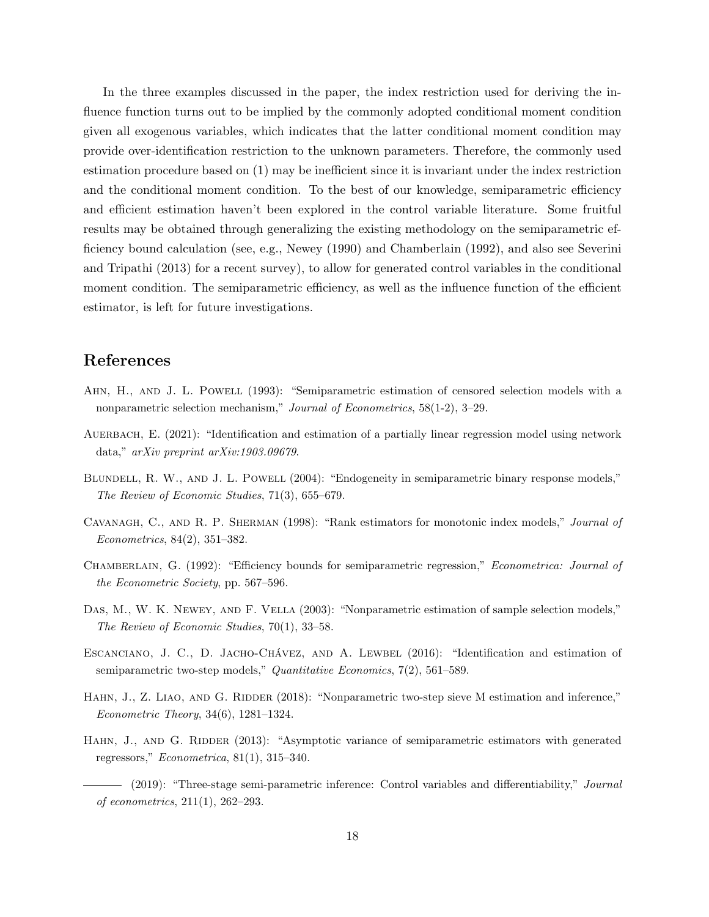In the three examples discussed in the paper, the index restriction used for deriving the influence function turns out to be implied by the commonly adopted conditional moment condition given all exogenous variables, which indicates that the latter conditional moment condition may provide over-identification restriction to the unknown parameters. Therefore, the commonly used estimation procedure based on (1) may be inefficient since it is invariant under the index restriction and the conditional moment condition. To the best of our knowledge, semiparametric efficiency and efficient estimation haven't been explored in the control variable literature. Some fruitful results may be obtained through generalizing the existing methodology on the semiparametric efficiency bound calculation (see, e.g., Newey (1990) and Chamberlain (1992), and also see Severini and Tripathi (2013) for a recent survey), to allow for generated control variables in the conditional moment condition. The semiparametric efficiency, as well as the influence function of the efficient estimator, is left for future investigations.

### References

- AHN, H., AND J. L. POWELL (1993): "Semiparametric estimation of censored selection models with a nonparametric selection mechanism," Journal of Econometrics, 58(1-2), 3–29.
- AUERBACH, E. (2021): "Identification and estimation of a partially linear regression model using network data," arXiv preprint arXiv:1903.09679.
- BLUNDELL, R. W., AND J. L. POWELL (2004): "Endogeneity in semiparametric binary response models," The Review of Economic Studies, 71(3), 655–679.
- Cavanagh, C., and R. P. Sherman (1998): "Rank estimators for monotonic index models," Journal of Econometrics, 84(2), 351–382.
- CHAMBERLAIN, G. (1992): "Efficiency bounds for semiparametric regression," Econometrica: Journal of the Econometric Society, pp. 567–596.
- Das, M., W. K. Newey, and F. Vella (2003): "Nonparametric estimation of sample selection models," The Review of Economic Studies, 70(1), 33–58.
- ESCANCIANO, J. C., D. JACHO-CHÁVEZ, AND A. LEWBEL (2016): "Identification and estimation of semiparametric two-step models," Quantitative Economics, 7(2), 561–589.
- HAHN, J., Z. LIAO, AND G. RIDDER (2018): "Nonparametric two-step sieve M estimation and inference," Econometric Theory, 34(6), 1281–1324.
- HAHN, J., AND G. RIDDER (2013): "Asymptotic variance of semiparametric estimators with generated regressors,"  $Econometrica$ , 81(1), 315–340.
- (2019): "Three-stage semi-parametric inference: Control variables and differentiability," Journal of econometrics, 211(1), 262–293.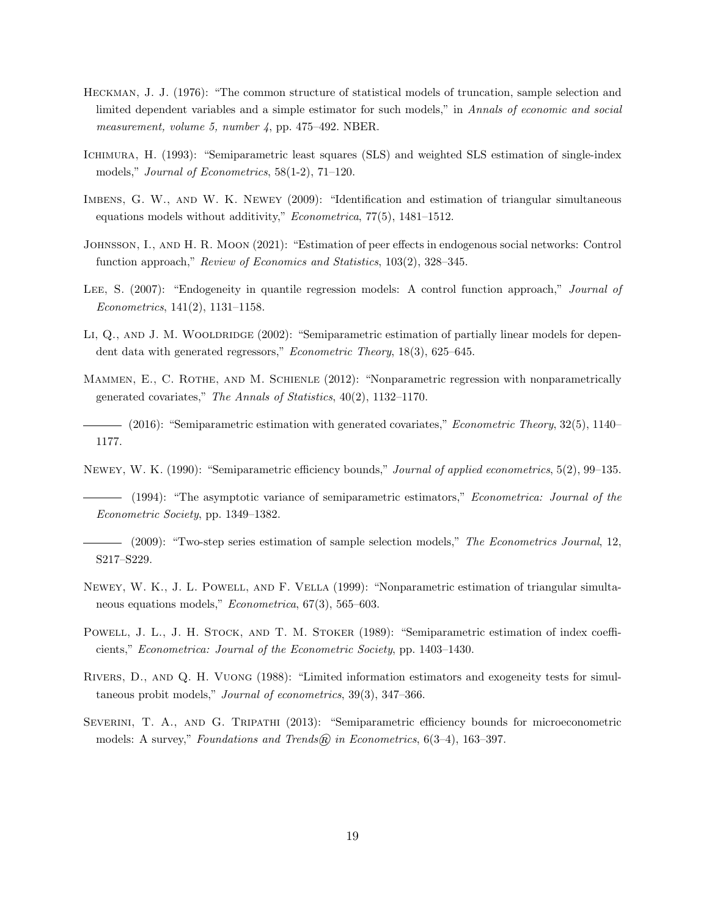- Heckman, J. J. (1976): "The common structure of statistical models of truncation, sample selection and limited dependent variables and a simple estimator for such models," in Annals of economic and social measurement, volume 5, number 4, pp. 475–492. NBER.
- Ichimura, H. (1993): "Semiparametric least squares (SLS) and weighted SLS estimation of single-index models," Journal of Econometrics, 58(1-2), 71–120.
- Imbens, G. W., and W. K. Newey (2009): "Identification and estimation of triangular simultaneous equations models without additivity," Econometrica, 77(5), 1481–1512.
- Johnsson, I., and H. R. Moon (2021): "Estimation of peer effects in endogenous social networks: Control function approach," Review of Economics and Statistics, 103(2), 328–345.
- LEE, S. (2007): "Endogeneity in quantile regression models: A control function approach," Journal of Econometrics, 141(2), 1131–1158.
- LI, Q., AND J. M. WOOLDRIDGE (2002): "Semiparametric estimation of partially linear models for dependent data with generated regressors," Econometric Theory, 18(3), 625–645.
- MAMMEN, E., C. ROTHE, AND M. SCHIENLE (2012): "Nonparametric regression with nonparametrically generated covariates," The Annals of Statistics, 40(2), 1132–1170.
- (2016): "Semiparametric estimation with generated covariates," *Econometric Theory*, 32(5), 1140– 1177.
- Newey, W. K. (1990): "Semiparametric efficiency bounds," Journal of applied econometrics, 5(2), 99–135.
- (1994): "The asymptotic variance of semiparametric estimators," *Econometrica: Journal of the* Econometric Society, pp. 1349–1382.
- (2009): "Two-step series estimation of sample selection models," The Econometrics Journal, 12, S217–S229.
- Newey, W. K., J. L. Powell, and F. Vella (1999): "Nonparametric estimation of triangular simultaneous equations models," Econometrica, 67(3), 565–603.
- Powell, J. L., J. H. Stock, and T. M. Stoker (1989): "Semiparametric estimation of index coefficients," Econometrica: Journal of the Econometric Society, pp. 1403–1430.
- Rivers, D., and Q. H. Vuong (1988): "Limited information estimators and exogeneity tests for simultaneous probit models," Journal of econometrics, 39(3), 347–366.
- Severini, T. A., and G. Tripathi (2013): "Semiparametric efficiency bounds for microeconometric models: A survey," Foundations and Trends@ in Econometrics,  $6(3-4)$ , 163-397.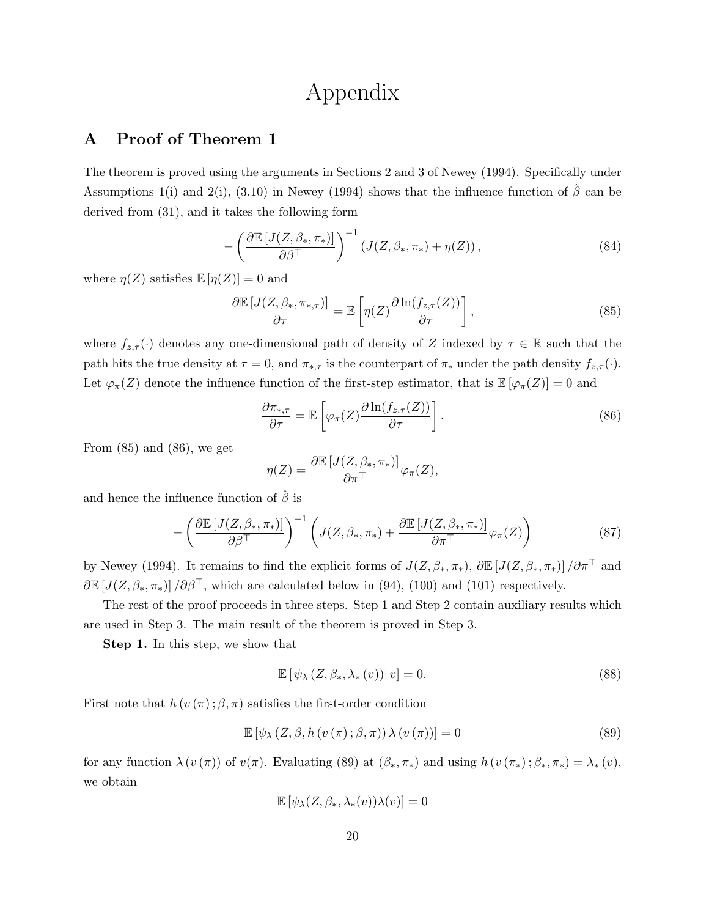## Appendix

## A Proof of Theorem 1

The theorem is proved using the arguments in Sections 2 and 3 of Newey (1994). Specifically under Assumptions 1(i) and 2(i), (3.10) in Newey (1994) shows that the influence function of  $\hat{\beta}$  can be derived from (31), and it takes the following form

$$
-\left(\frac{\partial \mathbb{E}\left[J(Z,\beta_*,\pi_*)\right]}{\partial \beta^\top}\right)^{-1}\left(J(Z,\beta_*,\pi_*)+\eta(Z)\right),\tag{84}
$$

where  $\eta(Z)$  satisfies  $\mathbb{E}[\eta(Z)] = 0$  and

$$
\frac{\partial \mathbb{E}\left[J(Z,\beta_*,\pi_{*,\tau})\right]}{\partial \tau} = \mathbb{E}\left[\eta(Z)\frac{\partial \ln(f_{z,\tau}(Z))}{\partial \tau}\right],\tag{85}
$$

where  $f_{z,\tau}(\cdot)$  denotes any one-dimensional path of density of Z indexed by  $\tau \in \mathbb{R}$  such that the path hits the true density at  $\tau = 0$ , and  $\pi_{*,\tau}$  is the counterpart of  $\pi_*$  under the path density  $f_{z,\tau}(\cdot)$ . Let  $\varphi_{\pi}(Z)$  denote the influence function of the first-step estimator, that is  $\mathbb{E}[\varphi_{\pi}(Z)] = 0$  and

$$
\frac{\partial \pi_{*,\tau}}{\partial \tau} = \mathbb{E}\left[\varphi_{\pi}(Z) \frac{\partial \ln(f_{z,\tau}(Z))}{\partial \tau}\right].
$$
\n(86)

From  $(85)$  and  $(86)$ , we get

$$
\eta(Z) = \frac{\partial \mathbb{E}\left[J(Z, \beta_*, \pi_*)\right]}{\partial \pi^{\top}} \varphi_{\pi}(Z),
$$

and hence the influence function of  $\hat{\beta}$  is

$$
-\left(\frac{\partial \mathbb{E}\left[J(Z,\beta_*,\pi_*)\right]}{\partial \beta^{\top}}\right)^{-1}\left(J(Z,\beta_*,\pi_*)+\frac{\partial \mathbb{E}\left[J(Z,\beta_*,\pi_*)\right]}{\partial \pi^{\top}}\varphi_{\pi}(Z)\right) \tag{87}
$$

by Newey (1994). It remains to find the explicit forms of  $J(Z, \beta_*, \pi_*), \partial \mathbb{E}[J(Z, \beta_*, \pi_*)]/\partial \pi^{\top}$  and  $\partial \mathbb{E}[J(Z,\beta_*,\pi_*)]/\partial \beta^{\top}$ , which are calculated below in (94), (100) and (101) respectively.

The rest of the proof proceeds in three steps. Step 1 and Step 2 contain auxiliary results which are used in Step 3. The main result of the theorem is proved in Step 3.

Step 1. In this step, we show that

$$
\mathbb{E}\left[\psi_{\lambda}\left(Z,\beta_{*},\lambda_{*}\left(v\right)\right)|v\right]=0.\tag{88}
$$

First note that  $h(v(\pi); \beta, \pi)$  satisfies the first-order condition

$$
\mathbb{E}\left[\psi_{\lambda}\left(Z,\beta,h\left(v\left(\pi\right);\beta,\pi\right)\right)\lambda\left(v\left(\pi\right)\right)\right]=0\tag{89}
$$

for any function  $\lambda(v(\pi))$  of  $v(\pi)$ . Evaluating (89) at  $(\beta_*, \pi_*)$  and using  $h(v(\pi_*); \beta_*, \pi_*) = \lambda_*(v)$ , we obtain

$$
\mathbb{E}\left[\psi_{\lambda}(Z,\beta_*,\lambda_*(v))\lambda(v)\right]=0
$$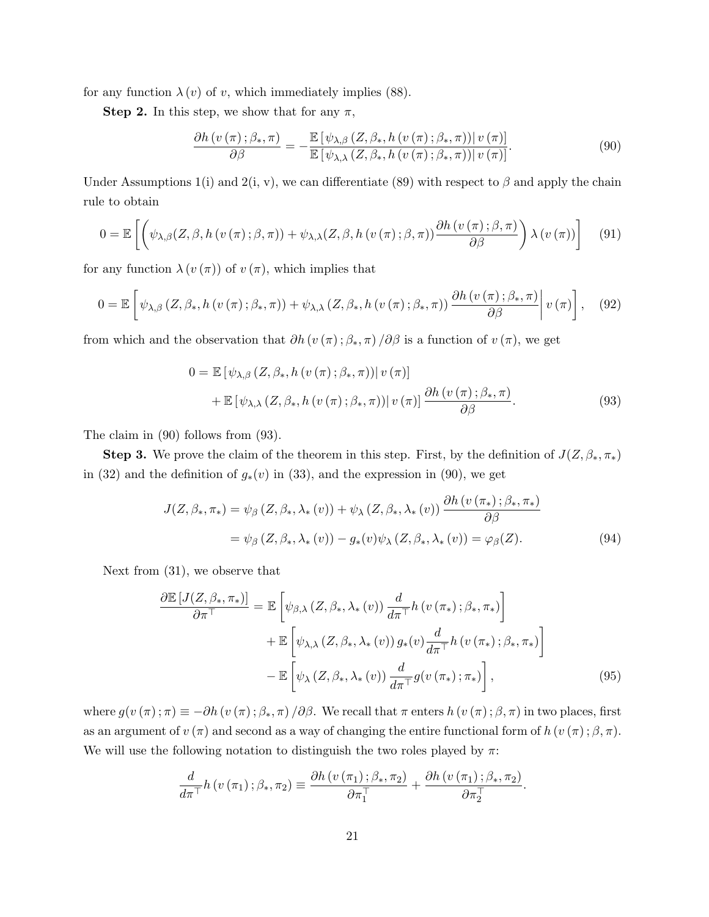for any function  $\lambda(v)$  of v, which immediately implies (88).

**Step 2.** In this step, we show that for any  $\pi$ ,

$$
\frac{\partial h\left(v\left(\pi\right);\beta_{\ast},\pi\right)}{\partial\beta} = -\frac{\mathbb{E}\left[\psi_{\lambda,\beta}\left(Z,\beta_{\ast},h\left(v\left(\pi\right);\beta_{\ast},\pi\right)\right)|v\left(\pi\right)\right]}{\mathbb{E}\left[\psi_{\lambda,\lambda}\left(Z,\beta_{\ast},h\left(v\left(\pi\right);\beta_{\ast},\pi\right)\right)|v\left(\pi\right)\right]}.
$$
\n(90)

Under Assumptions 1(i) and 2(i, v), we can differentiate (89) with respect to  $\beta$  and apply the chain rule to obtain

$$
0 = \mathbb{E}\left[\left(\psi_{\lambda,\beta}(Z,\beta,h(v(\pi);\beta,\pi)) + \psi_{\lambda,\lambda}(Z,\beta,h(v(\pi);\beta,\pi))\frac{\partial h(v(\pi);\beta,\pi)}{\partial \beta}\right)\lambda(v(\pi))\right] \quad (91)
$$

for any function  $\lambda(v(\pi))$  of  $v(\pi)$ , which implies that

$$
0 = \mathbb{E}\left[\psi_{\lambda,\beta}\left(Z,\beta_*,h\left(v\left(\pi\right);\beta_*,\pi\right)\right) + \psi_{\lambda,\lambda}\left(Z,\beta_*,h\left(v\left(\pi\right);\beta_*,\pi\right)\right) \frac{\partial h\left(v\left(\pi\right);\beta_*,\pi\right)}{\partial\beta}\middle| v\left(\pi\right)\right],\tag{92}
$$

from which and the observation that  $\partial h(v(\pi); \beta_*, \pi) / \partial \beta$  is a function of  $v(\pi)$ , we get

$$
0 = \mathbb{E} \left[ \psi_{\lambda,\beta} \left( Z, \beta_*, h \left( v \left( \pi \right); \beta_*, \pi \right) \right) \middle| v \left( \pi \right) \right] + \mathbb{E} \left[ \psi_{\lambda,\lambda} \left( Z, \beta_*, h \left( v \left( \pi \right); \beta_*, \pi \right) \right) \middle| v \left( \pi \right) \right] \frac{\partial h \left( v \left( \pi \right); \beta_*, \pi \right)}{\partial \beta}.
$$
\n(93)

The claim in (90) follows from (93).

**Step 3.** We prove the claim of the theorem in this step. First, by the definition of  $J(Z, \beta_*, \pi_*)$ in (32) and the definition of  $g_*(v)$  in (33), and the expression in (90), we get

$$
J(Z, \beta_*, \pi_*) = \psi_{\beta} (Z, \beta_*, \lambda_*(v)) + \psi_{\lambda} (Z, \beta_*, \lambda_*(v)) \frac{\partial h(v(\pi_*); \beta_*, \pi_*)}{\partial \beta}
$$
  
=  $\psi_{\beta} (Z, \beta_*, \lambda_*(v)) - g_*(v) \psi_{\lambda} (Z, \beta_*, \lambda_*(v)) = \varphi_{\beta} (Z).$  (94)

Next from (31), we observe that

$$
\frac{\partial \mathbb{E}\left[J(Z,\beta_*,\pi_*)\right]}{\partial \pi^{\top}} = \mathbb{E}\left[\psi_{\beta,\lambda}\left(Z,\beta_*,\lambda_*(v)\right)\frac{d}{d\pi^{\top}}h\left(v\left(\pi_*\right);\beta_*,\pi_*\right)\right] \n+ \mathbb{E}\left[\psi_{\lambda,\lambda}\left(Z,\beta_*,\lambda_*(v)\right)g_*(v)\frac{d}{d\pi^{\top}}h\left(v\left(\pi_*\right);\beta_*,\pi_*\right)\right] \n- \mathbb{E}\left[\psi_{\lambda}\left(Z,\beta_*,\lambda_*(v)\right)\frac{d}{d\pi^{\top}}g\left(v\left(\pi_*\right);\pi_*\right)\right],
$$
\n(95)

where  $g(v(\pi);\pi) \equiv -\partial h(v(\pi);\beta_*,\pi)/\partial \beta$ . We recall that  $\pi$  enters  $h(v(\pi);\beta,\pi)$  in two places, first as an argument of  $v(\pi)$  and second as a way of changing the entire functional form of  $h(v(\pi); \beta, \pi)$ . We will use the following notation to distinguish the two roles played by  $\pi$ :

$$
\frac{d}{d\pi^{\top}}h(v(\pi_1);\beta_*,\pi_2)\equiv \frac{\partial h(v(\pi_1);\beta_*,\pi_2)}{\partial \pi_1^{\top}}+\frac{\partial h(v(\pi_1);\beta_*,\pi_2)}{\partial \pi_2^{\top}}.
$$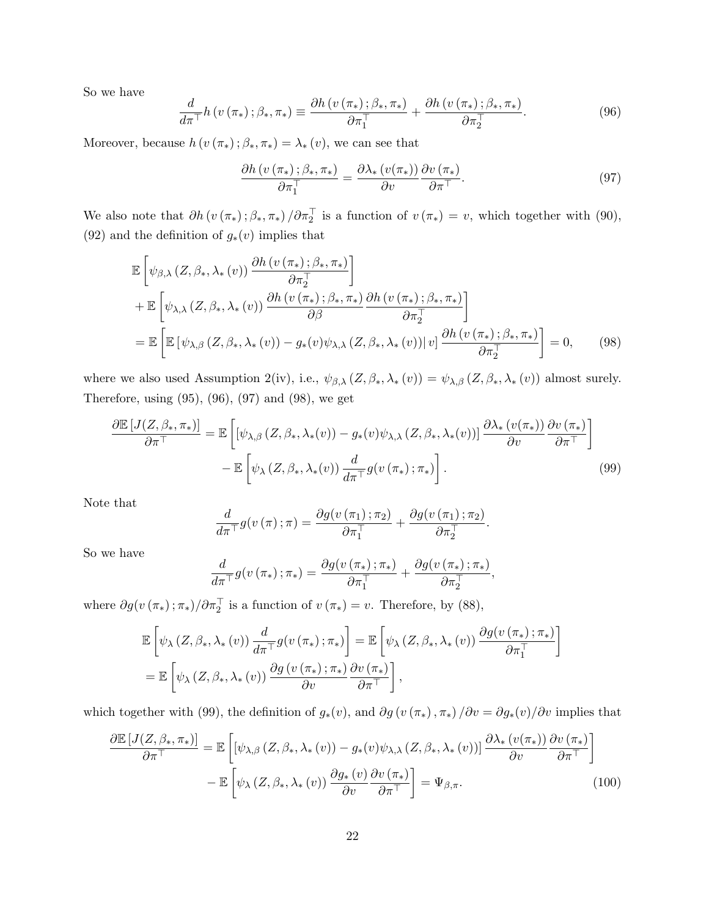So we have

$$
\frac{d}{d\pi^{\top}}h\left(v\left(\pi_{*}\right);\beta_{*},\pi_{*}\right)\equiv\frac{\partial h\left(v\left(\pi_{*}\right);\beta_{*},\pi_{*}\right)}{\partial\pi_{1}^{\top}}+\frac{\partial h\left(v\left(\pi_{*}\right);\beta_{*},\pi_{*}\right)}{\partial\pi_{2}^{\top}}.
$$
\n(96)

Moreover, because  $h(v(\pi_*)\,;\beta_*,\pi_*) = \lambda_*(v)$ , we can see that

$$
\frac{\partial h\left(v\left(\pi_*\right); \beta_*, \pi_*\right)}{\partial \pi_1^\top} = \frac{\partial \lambda_*\left(v(\pi_*)\right)}{\partial v} \frac{\partial v\left(\pi_*\right)}{\partial \pi^\top}.\tag{97}
$$

We also note that  $\partial h(v(\pi_*);\beta_*,\pi_*)/\partial \pi_2^{\top}$  is a function of  $v(\pi_*)=v$ , which together with (90), (92) and the definition of  $g_*(v)$  implies that

$$
\mathbb{E}\left[\psi_{\beta,\lambda}\left(Z,\beta_*,\lambda_*(v)\right)\frac{\partial h\left(v\left(\pi_*\right);\beta_*,\pi_*\right)}{\partial \pi_2^{\top}}\right] \n+ \mathbb{E}\left[\psi_{\lambda,\lambda}\left(Z,\beta_*,\lambda_*(v)\right)\frac{\partial h\left(v\left(\pi_*\right);\beta_*,\pi_*\right)}{\partial \beta}\frac{\partial h\left(v\left(\pi_*\right);\beta_*,\pi_*\right)}{\partial \pi_2^{\top}}\right] \n= \mathbb{E}\left[\mathbb{E}\left[\psi_{\lambda,\beta}\left(Z,\beta_*,\lambda_*(v)\right)-g_*(v)\psi_{\lambda,\lambda}\left(Z,\beta_*,\lambda_*(v)\right)|v\right]\frac{\partial h\left(v\left(\pi_*\right);\beta_*,\pi_*\right)}{\partial \pi_2^{\top}}\right] = 0, \quad (98)
$$

where we also used Assumption 2(iv), i.e.,  $\psi_{\beta,\lambda}(Z,\beta_*,\lambda_*(v)) = \psi_{\lambda,\beta}(Z,\beta_*,\lambda_*(v))$  almost surely. Therefore, using (95), (96), (97) and (98), we get

$$
\frac{\partial \mathbb{E}\left[J(Z,\beta_*,\pi_*)\right]}{\partial \pi^{\top}} = \mathbb{E}\left[\left[\psi_{\lambda,\beta}\left(Z,\beta_*,\lambda_*(v)\right) - g_*(v)\psi_{\lambda,\lambda}\left(Z,\beta_*,\lambda_*(v)\right)\right] \frac{\partial \lambda_*(v(\pi_*))}{\partial v} \frac{\partial v(\pi_*)}{\partial \pi^{\top}}\right] - \mathbb{E}\left[\psi_{\lambda}\left(Z,\beta_*,\lambda_*(v)\right) \frac{d}{d \pi^{\top}} g(v(\pi_*);\pi_*)\right].
$$
\n(99)

Note that

$$
\frac{d}{d\pi\tau}g(v(\pi);\pi)=\frac{\partial g(v(\pi_1);\pi_2)}{\partial \pi_1^{\top}}+\frac{\partial g(v(\pi_1);\pi_2)}{\partial \pi_2^{\top}}.
$$

So we have

$$
\frac{d}{d\pi^{\top}}g(v(\pi_{*});\pi_{*})=\frac{\partial g(v(\pi_{*});\pi_{*})}{\partial \pi_{1}^{\top}}+\frac{\partial g(v(\pi_{*});\pi_{*})}{\partial \pi_{2}^{\top}},
$$

where  $\partial g(v(\pi_*); \pi_*)/\partial \pi_2^{\top}$  is a function of  $v(\pi_*)=v$ . Therefore, by (88),

$$
\mathbb{E}\left[\psi_{\lambda}\left(Z,\beta_{*},\lambda_{*}\left(v\right)\right)\frac{d}{d\pi}\mathbb{I} g(v\left(\pi_{*}\right);\pi_{*})\right] = \mathbb{E}\left[\psi_{\lambda}\left(Z,\beta_{*},\lambda_{*}\left(v\right)\right)\frac{\partial g(v\left(\pi_{*}\right);\pi_{*})}{\partial\pi_{1}^{\top}}\right]
$$
\n
$$
= \mathbb{E}\left[\psi_{\lambda}\left(Z,\beta_{*},\lambda_{*}\left(v\right)\right)\frac{\partial g(v\left(\pi_{*}\right);\pi_{*})}{\partial v}\frac{\partial v\left(\pi_{*}\right)}{\partial\pi^{\top}}\right],
$$

which together with (99), the definition of  $g_*(v)$ , and  $\partial g(v(\pi_*,\pi_*)/\partial v = \partial g_*(v)/\partial v$  implies that

$$
\frac{\partial \mathbb{E}\left[J(Z,\beta_*,\pi_*)\right]}{\partial \pi^{\top}} = \mathbb{E}\left[\left[\psi_{\lambda,\beta}\left(Z,\beta_*,\lambda_*(v)\right) - g_*(v)\psi_{\lambda,\lambda}\left(Z,\beta_*,\lambda_*(v)\right)\right] \frac{\partial \lambda_*(v(\pi_*))}{\partial v} \frac{\partial v(\pi_*)}{\partial \pi^{\top}}\right] - \mathbb{E}\left[\psi_{\lambda}\left(Z,\beta_*,\lambda_*(v)\right) \frac{\partial g_*(v)}{\partial v} \frac{\partial v(\pi_*)}{\partial \pi^{\top}}\right] = \Psi_{\beta,\pi}.
$$
\n(100)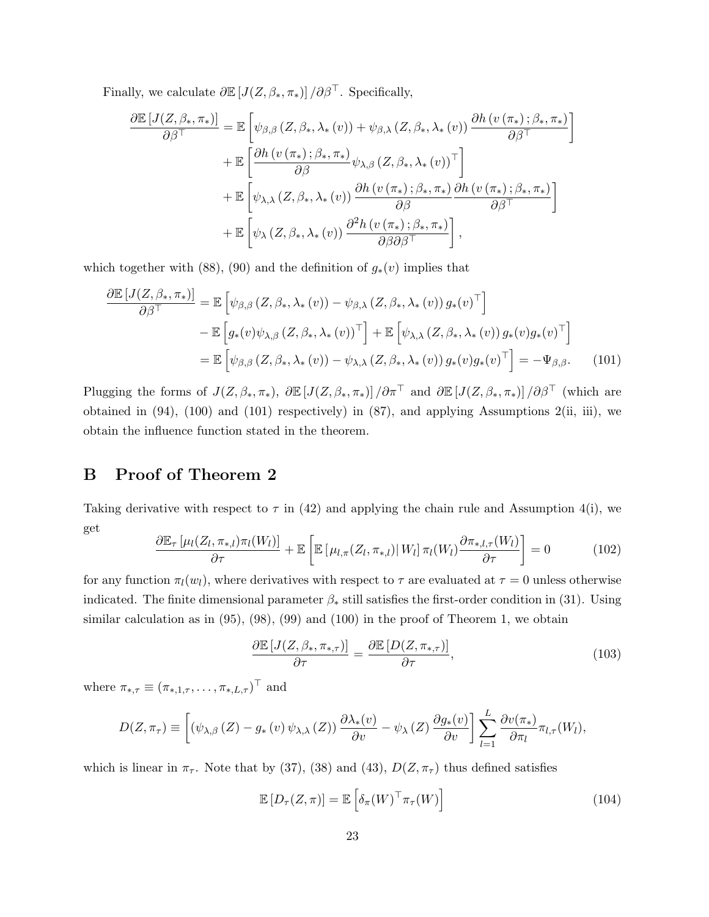Finally, we calculate  $\partial \mathbb{E}\left[J(Z,\beta_*,\pi_*)\right]/\partial \beta^{\top}$ . Specifically,

$$
\frac{\partial \mathbb{E}\left[J(Z,\beta_*,\pi_*)\right]}{\partial \beta^{\top}} = \mathbb{E}\left[\psi_{\beta,\beta}\left(Z,\beta_*,\lambda_*(v)\right) + \psi_{\beta,\lambda}\left(Z,\beta_*,\lambda_*(v)\right) \frac{\partial h\left(v\left(\pi_*\right);\beta_*,\pi_*\right)}{\partial \beta^{\top}}\right] \n+ \mathbb{E}\left[\frac{\partial h\left(v\left(\pi_*\right);\beta_*,\pi_*\right)}{\partial \beta}\psi_{\lambda,\beta}\left(Z,\beta_*,\lambda_*(v)\right)^{\top}\right] \n+ \mathbb{E}\left[\psi_{\lambda,\lambda}\left(Z,\beta_*,\lambda_*(v)\right) \frac{\partial h\left(v\left(\pi_*\right);\beta_*,\pi_*\right)}{\partial \beta}\frac{\partial h\left(v\left(\pi_*\right);\beta_*,\pi_*\right)}{\partial \beta^{\top}}\right] \n+ \mathbb{E}\left[\psi_{\lambda}\left(Z,\beta_*,\lambda_*(v)\right) \frac{\partial^2 h\left(v\left(\pi_*\right);\beta_*,\pi_*\right)}{\partial \beta \partial \beta^{\top}}\right],
$$

which together with (88), (90) and the definition of  $g_*(v)$  implies that

$$
\frac{\partial \mathbb{E}\left[J(Z,\beta_*,\pi_*)\right]}{\partial \beta^{\top}} = \mathbb{E}\left[\psi_{\beta,\beta}\left(Z,\beta_*,\lambda_*(v)\right) - \psi_{\beta,\lambda}\left(Z,\beta_*,\lambda_*(v)\right)g_*(v)^{\top}\right] \n- \mathbb{E}\left[g_*(v)\psi_{\lambda,\beta}\left(Z,\beta_*,\lambda_*(v)\right)^{\top}\right] + \mathbb{E}\left[\psi_{\lambda,\lambda}\left(Z,\beta_*,\lambda_*(v)\right)g_*(v)g_*(v)^{\top}\right] \n= \mathbb{E}\left[\psi_{\beta,\beta}\left(Z,\beta_*,\lambda_*(v)\right) - \psi_{\lambda,\lambda}\left(Z,\beta_*,\lambda_*(v)\right)g_*(v)g_*(v)^{\top}\right] = -\Psi_{\beta,\beta}.
$$
\n(101)

Plugging the forms of  $J(Z, \beta_*, \pi_*)$ ,  $\partial \mathbb{E}[J(Z, \beta_*, \pi_*)] / \partial \pi^{\top}$  and  $\partial \mathbb{E}[J(Z, \beta_*, \pi_*)] / \partial \beta^{\top}$  (which are obtained in (94), (100) and (101) respectively) in (87), and applying Assumptions 2(ii, iii), we obtain the influence function stated in the theorem.

## B Proof of Theorem 2

Taking derivative with respect to  $\tau$  in (42) and applying the chain rule and Assumption 4(i), we get

$$
\frac{\partial \mathbb{E}_{\tau} \left[ \mu_l(Z_l, \pi_{*,l}) \pi_l(W_l) \right]}{\partial \tau} + \mathbb{E} \left[ \mathbb{E} \left[ \mu_{l,\pi}(Z_l, \pi_{*,l}) \middle| W_l \right] \pi_l(W_l) \frac{\partial \pi_{*,l,\tau}(W_l)}{\partial \tau} \right] = 0 \tag{102}
$$

for any function  $\pi_l(w_l)$ , where derivatives with respect to  $\tau$  are evaluated at  $\tau = 0$  unless otherwise indicated. The finite dimensional parameter  $\beta_*$  still satisfies the first-order condition in (31). Using similar calculation as in  $(95)$ ,  $(98)$ ,  $(99)$  and  $(100)$  in the proof of Theorem 1, we obtain

$$
\frac{\partial \mathbb{E}\left[J(Z,\beta_*,\pi_{*,\tau})\right]}{\partial \tau} = \frac{\partial \mathbb{E}\left[D(Z,\pi_{*,\tau})\right]}{\partial \tau},\tag{103}
$$

where  $\pi_{*,\tau} \equiv (\pi_{*,1,\tau}, \ldots, \pi_{*,L,\tau})^{\top}$  and

$$
D(Z, \pi_{\tau}) \equiv \left[ \left( \psi_{\lambda, \beta} \left( Z \right) - g_* \left( v \right) \psi_{\lambda, \lambda} \left( Z \right) \right) \frac{\partial \lambda_*(v)}{\partial v} - \psi_{\lambda} \left( Z \right) \frac{\partial g_*(v)}{\partial v} \right] \sum_{l=1}^L \frac{\partial v(\pi_*)}{\partial \pi_l} \pi_{l, \tau}(W_l),
$$

which is linear in  $\pi_{\tau}$ . Note that by (37), (38) and (43),  $D(Z, \pi_{\tau})$  thus defined satisfies

$$
\mathbb{E}\left[D_{\tau}(Z,\pi)\right] = \mathbb{E}\left[\delta_{\pi}(W)^{\top}\pi_{\tau}(W)\right]
$$
\n(104)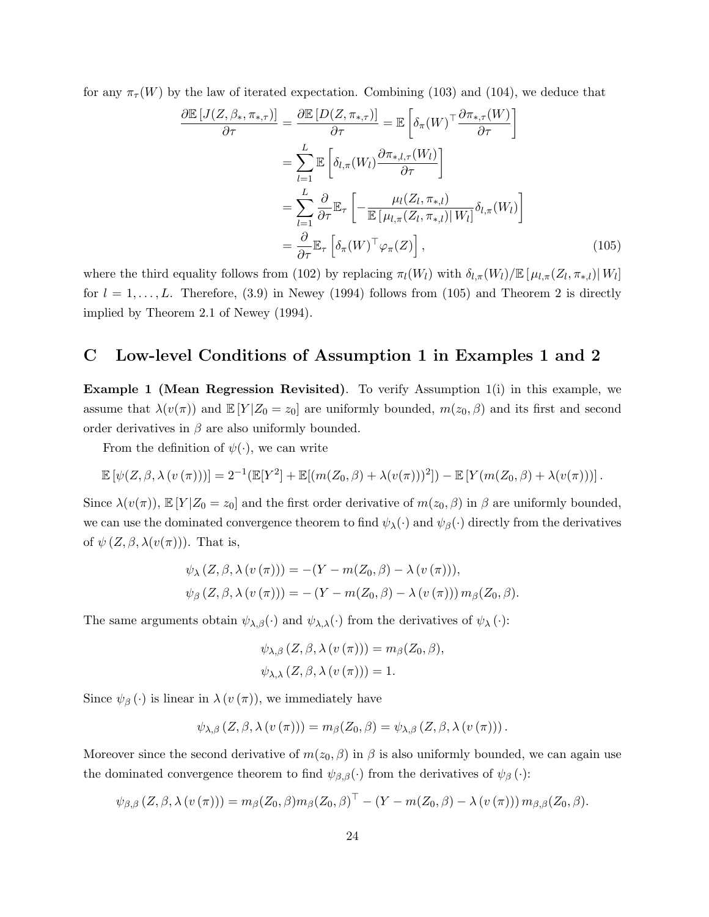for any  $\pi_{\tau}(W)$  by the law of iterated expectation. Combining (103) and (104), we deduce that

$$
\frac{\partial \mathbb{E}\left[J(Z,\beta_*,\pi_{*,\tau})\right]}{\partial \tau} = \frac{\partial \mathbb{E}\left[D(Z,\pi_{*,\tau})\right]}{\partial \tau} = \mathbb{E}\left[\delta_{\pi}(W)^{\top} \frac{\partial \pi_{*,\tau}(W)}{\partial \tau}\right]
$$

$$
= \sum_{l=1}^{L} \mathbb{E}\left[\delta_{l,\pi}(W_l) \frac{\partial \pi_{*,l,\tau}(W_l)}{\partial \tau}\right]
$$

$$
= \sum_{l=1}^{L} \frac{\partial}{\partial \tau} \mathbb{E}_{\tau}\left[-\frac{\mu_l(Z_l,\pi_{*,l})}{\mathbb{E}\left[\mu_{l,\pi}(Z_l,\pi_{*,l})\right]W_l}\delta_{l,\pi}(W_l)\right]
$$

$$
= \frac{\partial}{\partial \tau} \mathbb{E}_{\tau}\left[\delta_{\pi}(W)^{\top} \varphi_{\pi}(Z)\right], \tag{105}
$$

where the third equality follows from (102) by replacing  $\pi_l(W_l)$  with  $\delta_{l,\pi}(W_l)/\mathbb{E}[\mu_{l,\pi}(Z_l,\pi_{*,l})|W_l]$ for  $l = 1, \ldots, L$ . Therefore, (3.9) in Newey (1994) follows from (105) and Theorem 2 is directly implied by Theorem 2.1 of Newey (1994).

#### C Low-level Conditions of Assumption 1 in Examples 1 and 2

Example 1 (Mean Regression Revisited). To verify Assumption 1(i) in this example, we assume that  $\lambda(v(\pi))$  and  $\mathbb{E}[Y|Z_0=z_0]$  are uniformly bounded,  $m(z_0,\beta)$  and its first and second order derivatives in  $\beta$  are also uniformly bounded.

From the definition of  $\psi(\cdot)$ , we can write

$$
\mathbb{E}\left[\psi(Z,\beta,\lambda(v(\pi)))\right] = 2^{-1}(\mathbb{E}[Y^2] + \mathbb{E}[(m(Z_0,\beta) + \lambda(v(\pi)))^2]) - \mathbb{E}\left[Y(m(Z_0,\beta) + \lambda(v(\pi)))\right].
$$

Since  $\lambda(v(\pi))$ ,  $\mathbb{E}[Y|Z_0=z_0]$  and the first order derivative of  $m(z_0,\beta)$  in  $\beta$  are uniformly bounded, we can use the dominated convergence theorem to find  $\psi_{\lambda}(\cdot)$  and  $\psi_{\beta}(\cdot)$  directly from the derivatives of  $\psi$   $(Z, \beta, \lambda(v(\pi)))$ . That is,

$$
\psi_{\lambda}(Z,\beta,\lambda(v(\pi))) = -(Y - m(Z_0,\beta) - \lambda(v(\pi))),
$$
  

$$
\psi_{\beta}(Z,\beta,\lambda(v(\pi))) = -(Y - m(Z_0,\beta) - \lambda(v(\pi))) m_{\beta}(Z_0,\beta).
$$

The same arguments obtain  $\psi_{\lambda,\beta}(\cdot)$  and  $\psi_{\lambda,\lambda}(\cdot)$  from the derivatives of  $\psi_{\lambda}(\cdot)$ :

$$
\psi_{\lambda,\beta}(Z,\beta,\lambda(v(\pi))) = m_{\beta}(Z_0,\beta),
$$
  

$$
\psi_{\lambda,\lambda}(Z,\beta,\lambda(v(\pi))) = 1.
$$

Since  $\psi_{\beta}(\cdot)$  is linear in  $\lambda(v(\pi))$ , we immediately have

$$
\psi_{\lambda,\beta}\left(Z,\beta,\lambda\left(v\left(\pi\right)\right)\right)=m_{\beta}(Z_0,\beta)=\psi_{\lambda,\beta}\left(Z,\beta,\lambda\left(v\left(\pi\right)\right)\right).
$$

Moreover since the second derivative of  $m(z_0, \beta)$  in  $\beta$  is also uniformly bounded, we can again use the dominated convergence theorem to find  $\psi_{\beta,\beta}(\cdot)$  from the derivatives of  $\psi_{\beta}(\cdot)$ :

$$
\psi_{\beta,\beta}(Z,\beta,\lambda(v(\pi))) = m_{\beta}(Z_0,\beta)m_{\beta}(Z_0,\beta)^{\top} - (Y - m(Z_0,\beta) - \lambda(v(\pi))) m_{\beta,\beta}(Z_0,\beta).
$$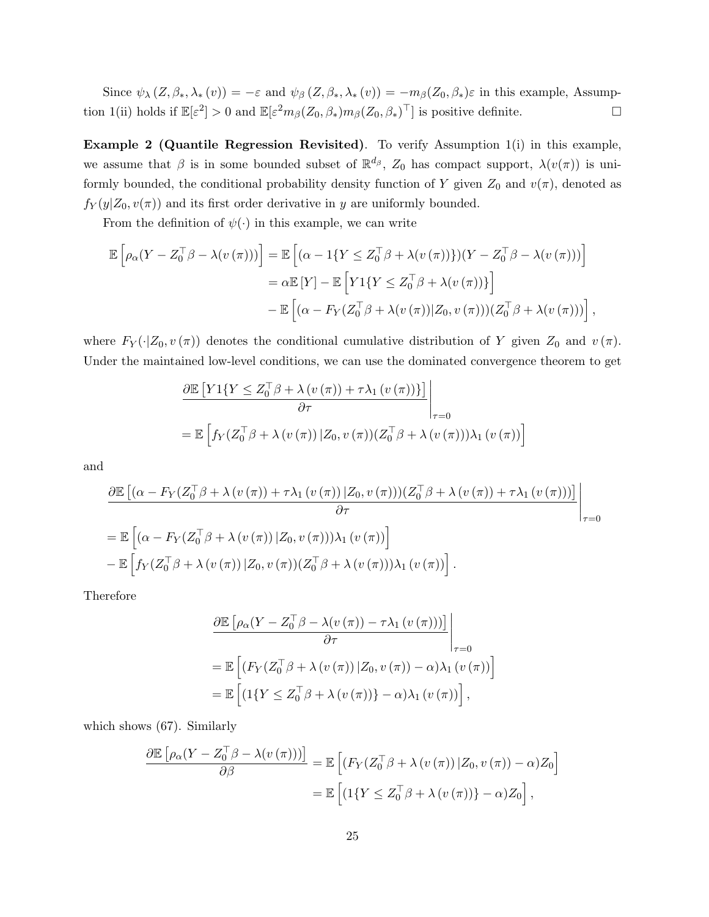Since  $\psi_{\lambda}(Z,\beta_*,\lambda_*(v)) = -\varepsilon$  and  $\psi_{\beta}(Z,\beta_*,\lambda_*(v)) = -m_{\beta}(Z_0,\beta_*)\varepsilon$  in this example, Assumption 1(ii) holds if  $\mathbb{E}[\varepsilon^2] > 0$  and  $\mathbb{E}[\varepsilon^2 m_\beta(Z_0, \beta_*) m_\beta(Z_0, \beta_*)^\top]$  is positive definite.

Example 2 (Quantile Regression Revisited). To verify Assumption 1(i) in this example, we assume that  $\beta$  is in some bounded subset of  $\mathbb{R}^{d_{\beta}}$ ,  $Z_0$  has compact support,  $\lambda(v(\pi))$  is uniformly bounded, the conditional probability density function of Y given  $Z_0$  and  $v(\pi)$ , denoted as  $f_Y(y|Z_0, v(\pi))$  and its first order derivative in y are uniformly bounded.

From the definition of  $\psi(\cdot)$  in this example, we can write

$$
\mathbb{E}\left[\rho_{\alpha}(Y - Z_0^{\top}\beta - \lambda(v(\pi)))\right] = \mathbb{E}\left[(\alpha - 1\{Y \leq Z_0^{\top}\beta + \lambda(v(\pi))\}\right)(Y - Z_0^{\top}\beta - \lambda(v(\pi)))\right]
$$
  
\n
$$
= \alpha \mathbb{E}\left[Y\right] - \mathbb{E}\left[Y1\{Y \leq Z_0^{\top}\beta + \lambda(v(\pi))\}\right]
$$
  
\n
$$
- \mathbb{E}\left[(\alpha - F_Y(Z_0^{\top}\beta + \lambda(v(\pi))|Z_0, v(\pi)))(Z_0^{\top}\beta + \lambda(v(\pi)))\right],
$$

where  $F_Y(\cdot|Z_0, v(\pi))$  denotes the conditional cumulative distribution of Y given  $Z_0$  and  $v(\pi)$ . Under the maintained low-level conditions, we can use the dominated convergence theorem to get

$$
\frac{\partial \mathbb{E}\left[Y1\{Y \le Z_0^\top \beta + \lambda(v(\pi)) + \tau \lambda_1(v(\pi))\}\right]}{\partial \tau}\Bigg|_{\tau=0}
$$
\n
$$
= \mathbb{E}\left[f_Y(Z_0^\top \beta + \lambda(v(\pi))|Z_0, v(\pi))(Z_0^\top \beta + \lambda(v(\pi)))\lambda_1(v(\pi))\right]
$$

and

$$
\frac{\partial \mathbb{E}\left[\left(\alpha - F_Y(Z_0^\top \beta + \lambda(v(\pi)) + \tau \lambda_1(v(\pi)) | Z_0, v(\pi))\right)\right] \mathbb{Z}_0^\top \beta + \lambda(v(\pi)) + \tau \lambda_1(v(\pi))\right]}{\partial \tau}
$$
\n
$$
= \mathbb{E}\left[\left(\alpha - F_Y(Z_0^\top \beta + \lambda(v(\pi)) | Z_0, v(\pi))\right) \lambda_1(v(\pi))\right]
$$
\n
$$
- \mathbb{E}\left[f_Y(Z_0^\top \beta + \lambda(v(\pi)) | Z_0, v(\pi))\right] \mathbb{Z}_0^\top \beta + \lambda(v(\pi)) \lambda_1(v(\pi))\right].
$$

Therefore

$$
\frac{\partial \mathbb{E} \left[ \rho_{\alpha} (Y - Z_0^{\top} \beta - \lambda (v (\pi)) - \tau \lambda_1 (v (\pi))) \right]}{\partial \tau} \Bigg|_{\tau=0}
$$
\n
$$
= \mathbb{E} \left[ \left( F_Y (Z_0^{\top} \beta + \lambda (v (\pi)) | Z_0, v (\pi)) - \alpha \right) \lambda_1 (v (\pi)) \right]
$$
\n
$$
= \mathbb{E} \left[ \left( 1 \{ Y \leq Z_0^{\top} \beta + \lambda (v (\pi)) \} - \alpha \right) \lambda_1 (v (\pi)) \right],
$$

which shows (67). Similarly

$$
\frac{\partial \mathbb{E}\left[\rho_{\alpha}(Y - Z_0^{\top}\beta - \lambda(v(\pi)))\right]}{\partial \beta} = \mathbb{E}\left[\left(F_Y(Z_0^{\top}\beta + \lambda(v(\pi))\,|Z_0,v(\pi)) - \alpha\right)Z_0\right]
$$

$$
= \mathbb{E}\left[\left(1\{Y \le Z_0^{\top}\beta + \lambda(v(\pi))\} - \alpha\right)Z_0\right],
$$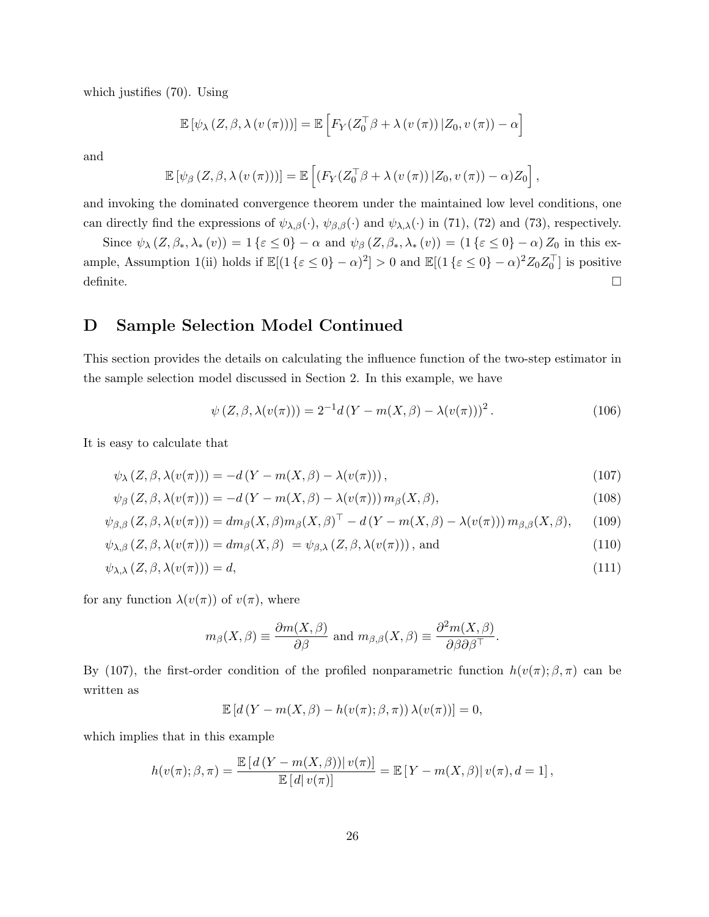which justifies (70). Using

$$
\mathbb{E}\left[\psi_{\lambda}\left(Z,\beta,\lambda\left(v\left(\pi\right)\right)\right)\right]=\mathbb{E}\left[F_{Y}(Z_{0}^{\top}\beta+\lambda\left(v\left(\pi\right)\right)|Z_{0},v\left(\pi\right)\right)-\alpha\right]
$$

and

$$
\mathbb{E}\left[\psi_{\beta}\left(Z,\beta,\lambda\left(v\left(\pi\right)\right)\right)\right]=\mathbb{E}\left[\left(F_{Y}(Z_{0}^{\top}\beta+\lambda\left(v\left(\pi\right)\right)|Z_{0},v\left(\pi\right)\right)-\alpha\right)Z_{0}\right],
$$

and invoking the dominated convergence theorem under the maintained low level conditions, one can directly find the expressions of  $\psi_{\lambda,\beta}(\cdot)$ ,  $\psi_{\beta,\beta}(\cdot)$  and  $\psi_{\lambda,\lambda}(\cdot)$  in (71), (72) and (73), respectively.

Since  $\psi_{\lambda}(Z,\beta_*,\lambda_*(v)) = 1 \{\varepsilon \leq 0\} - \alpha$  and  $\psi_{\beta}(Z,\beta_*,\lambda_*(v)) = (1 \{\varepsilon \leq 0\} - \alpha) Z_0$  in this example, Assumption 1(ii) holds if  $\mathbb{E}[(1 \{\varepsilon \leq 0\} - \alpha)^2] > 0$  and  $\mathbb{E}[(1 \{\varepsilon \leq 0\} - \alpha)^2 Z_0 Z_0^\top]$  is positive definite.  $\square$ 

## D Sample Selection Model Continued

This section provides the details on calculating the influence function of the two-step estimator in the sample selection model discussed in Section 2. In this example, we have

$$
\psi(Z,\beta,\lambda(v(\pi))) = 2^{-1}d(Y - m(X,\beta) - \lambda(v(\pi)))^2.
$$
\n(106)

It is easy to calculate that

$$
\psi_{\lambda}(Z,\beta,\lambda(v(\pi))) = -d(Y - m(X,\beta) - \lambda(v(\pi))),\tag{107}
$$

$$
\psi_{\beta}\left(Z,\beta,\lambda(v(\pi))\right) = -d\left(Y - m(X,\beta) - \lambda(v(\pi))\right)m_{\beta}(X,\beta),\tag{108}
$$

$$
\psi_{\beta,\beta}(Z,\beta,\lambda(v(\pi))) = dm_{\beta}(X,\beta)m_{\beta}(X,\beta)^{\top} - d\left(Y - m(X,\beta) - \lambda(v(\pi))\right)m_{\beta,\beta}(X,\beta),\tag{109}
$$

$$
\psi_{\lambda,\beta}(Z,\beta,\lambda(v(\pi))) = dm_{\beta}(X,\beta) = \psi_{\beta,\lambda}(Z,\beta,\lambda(v(\pi))), \text{ and}
$$
\n(110)

$$
\psi_{\lambda,\lambda}(Z,\beta,\lambda(v(\pi)))=d,\tag{111}
$$

for any function  $\lambda(v(\pi))$  of  $v(\pi)$ , where

$$
m_{\beta}(X,\beta) \equiv \frac{\partial m(X,\beta)}{\partial \beta}
$$
 and  $m_{\beta,\beta}(X,\beta) \equiv \frac{\partial^2 m(X,\beta)}{\partial \beta \partial \beta^{\top}}$ .

By (107), the first-order condition of the profiled nonparametric function  $h(v(\pi); \beta, \pi)$  can be written as

$$
\mathbb{E}\left[d\left(Y-m(X,\beta)-h(v(\pi);\beta,\pi)\right)\lambda(v(\pi))\right]=0,
$$

which implies that in this example

$$
h(v(\pi); \beta, \pi) = \frac{\mathbb{E}\left[d(Y - m(X, \beta))\right|v(\pi)}{\mathbb{E}\left[d\right|v(\pi)\right]} = \mathbb{E}\left[Y - m(X, \beta)\right|v(\pi), d = 1],
$$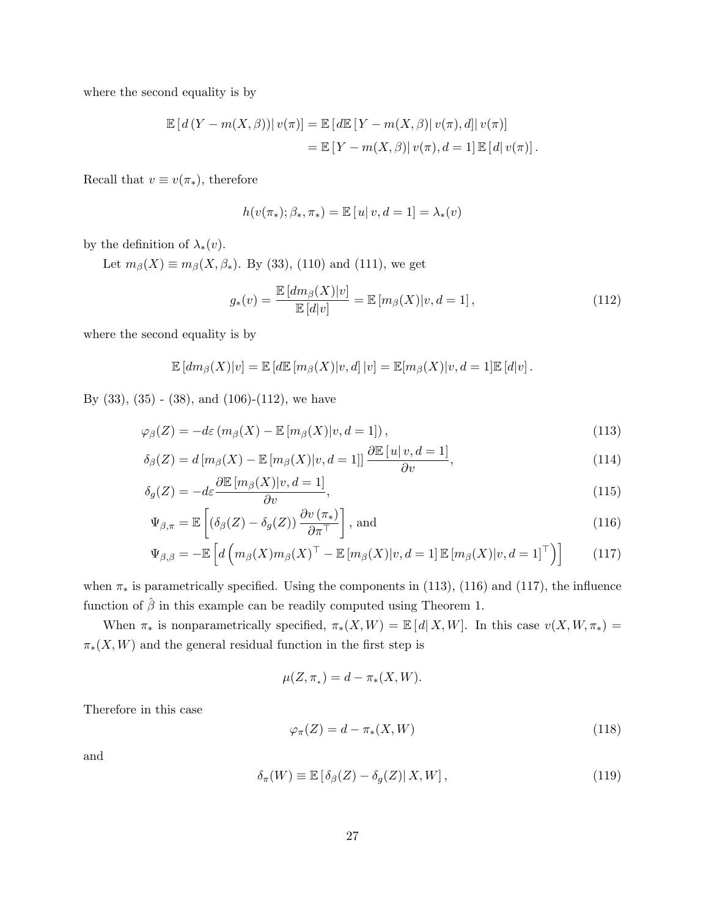where the second equality is by

$$
\mathbb{E}\left[d(Y - m(X,\beta))| v(\pi)\right] = \mathbb{E}\left[d\mathbb{E}\left[Y - m(X,\beta)| v(\pi),d\right]| v(\pi)\right]
$$

$$
= \mathbb{E}\left[Y - m(X,\beta)| v(\pi),d = 1\right]\mathbb{E}\left[d| v(\pi)\right].
$$

Recall that  $v \equiv v(\pi_*)$ , therefore

$$
h(v(\pi_*); \beta_*, \pi_*) = \mathbb{E}[u|v, d = 1] = \lambda_*(v)
$$

by the definition of  $\lambda_*(v)$ .

Let  $m_{\beta}(X) \equiv m_{\beta}(X, \beta_*)$ . By (33), (110) and (111), we get

$$
g_*(v) = \frac{\mathbb{E}\left[dm_\beta(X)|v\right]}{\mathbb{E}\left[d|v\right]} = \mathbb{E}\left[m_\beta(X)|v, d=1\right],\tag{112}
$$

where the second equality is by

$$
\mathbb{E}[dm_{\beta}(X)|v] = \mathbb{E}[d\mathbb{E}[m_{\beta}(X)|v,d]|v] = \mathbb{E}[m_{\beta}(X)|v,d=1]\mathbb{E}[d|v].
$$

By  $(33)$ ,  $(35)$  -  $(38)$ , and  $(106)-(112)$ , we have

$$
\varphi_{\beta}(Z) = -d\varepsilon \left( m_{\beta}(X) - \mathbb{E}\left[ m_{\beta}(X) \middle| v, d = 1 \right] \right),\tag{113}
$$

$$
\delta_{\beta}(Z) = d \left[ m_{\beta}(X) - \mathbb{E}\left[ m_{\beta}(X) | v, d = 1 \right] \right] \frac{\partial \mathbb{E}\left[ u | v, d = 1 \right]}{\partial v},\tag{114}
$$

$$
\delta_g(Z) = -d\varepsilon \frac{\partial \mathbb{E}\left[m_\beta(X)|v, d=1\right]}{\partial v},\tag{115}
$$

$$
\Psi_{\beta,\pi} = \mathbb{E}\left[ \left( \delta_{\beta}(Z) - \delta_g(Z) \right) \frac{\partial v(\pi_*)}{\partial \pi^{\top}} \right], \text{ and} \tag{116}
$$

$$
\Psi_{\beta,\beta} = -\mathbb{E}\left[d\left(m_{\beta}(X)m_{\beta}(X)^{\top} - \mathbb{E}\left[m_{\beta}(X)|v,d=1\right]\mathbb{E}\left[m_{\beta}(X)|v,d=1\right]^{\top}\right)\right]
$$
(117)

when  $\pi_*$  is parametrically specified. Using the components in (113), (116) and (117), the influence function of  $\hat{\beta}$  in this example can be readily computed using Theorem 1.

When  $\pi_*$  is nonparametrically specified,  $\pi_*(X, W) = \mathbb{E}[d(X, W)]$ . In this case  $v(X, W, \pi_*) =$  $\pi_*(X, W)$  and the general residual function in the first step is

$$
\mu(Z, \pi_*) = d - \pi_*(X, W).
$$

Therefore in this case

$$
\varphi_{\pi}(Z) = d - \pi_*(X, W) \tag{118}
$$

and

$$
\delta_{\pi}(W) \equiv \mathbb{E}\left[\delta_{\beta}(Z) - \delta_{g}(Z)|X, W\right],\tag{119}
$$